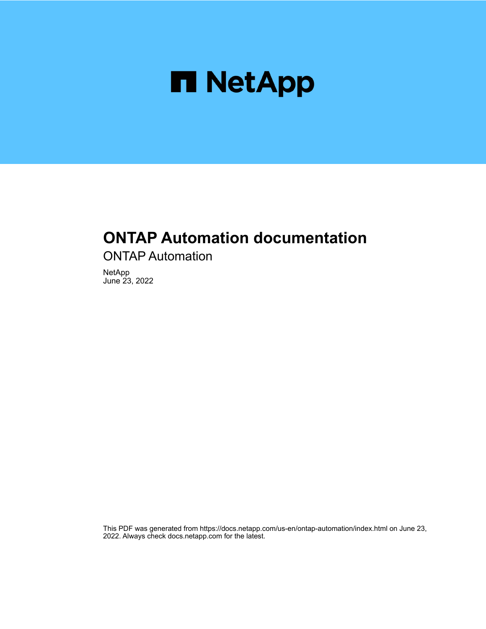

## **ONTAP Automation documentation**

ONTAP Automation

NetApp June 23, 2022

This PDF was generated from https://docs.netapp.com/us-en/ontap-automation/index.html on June 23, 2022. Always check docs.netapp.com for the latest.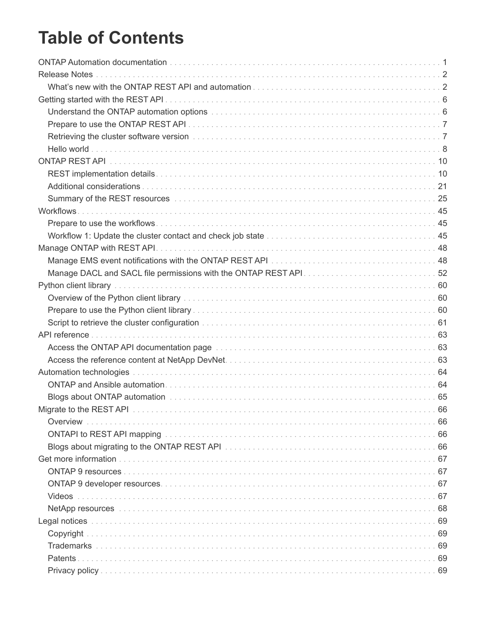# **Table of Contents**

| Understand the ONTAP automation options matures are all the controller controller to the ONTAP automation of the controller controller controller to the CNTAP automation of the controller controller controller to the CNTAP |    |
|--------------------------------------------------------------------------------------------------------------------------------------------------------------------------------------------------------------------------------|----|
|                                                                                                                                                                                                                                |    |
|                                                                                                                                                                                                                                |    |
|                                                                                                                                                                                                                                |    |
|                                                                                                                                                                                                                                |    |
|                                                                                                                                                                                                                                |    |
|                                                                                                                                                                                                                                |    |
|                                                                                                                                                                                                                                |    |
|                                                                                                                                                                                                                                |    |
|                                                                                                                                                                                                                                |    |
|                                                                                                                                                                                                                                |    |
|                                                                                                                                                                                                                                |    |
|                                                                                                                                                                                                                                |    |
|                                                                                                                                                                                                                                |    |
|                                                                                                                                                                                                                                |    |
|                                                                                                                                                                                                                                |    |
|                                                                                                                                                                                                                                |    |
|                                                                                                                                                                                                                                |    |
|                                                                                                                                                                                                                                |    |
|                                                                                                                                                                                                                                |    |
|                                                                                                                                                                                                                                |    |
|                                                                                                                                                                                                                                |    |
|                                                                                                                                                                                                                                |    |
|                                                                                                                                                                                                                                |    |
|                                                                                                                                                                                                                                |    |
| Overview                                                                                                                                                                                                                       | 66 |
|                                                                                                                                                                                                                                |    |
|                                                                                                                                                                                                                                |    |
|                                                                                                                                                                                                                                |    |
|                                                                                                                                                                                                                                |    |
|                                                                                                                                                                                                                                |    |
| Videos                                                                                                                                                                                                                         |    |
|                                                                                                                                                                                                                                |    |
|                                                                                                                                                                                                                                |    |
|                                                                                                                                                                                                                                |    |
|                                                                                                                                                                                                                                |    |
| Patents.                                                                                                                                                                                                                       |    |
|                                                                                                                                                                                                                                |    |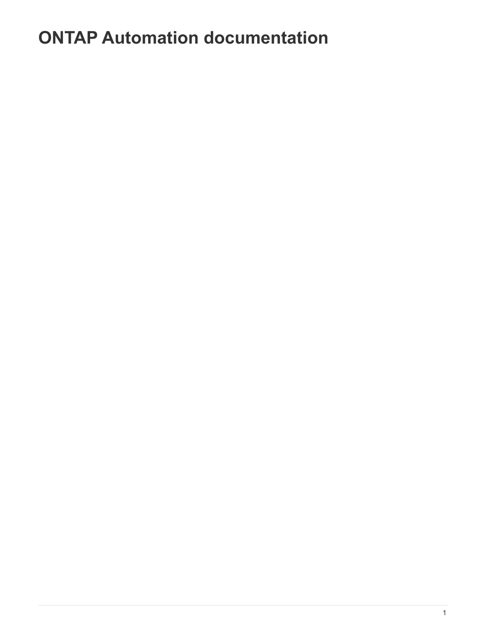# <span id="page-2-0"></span>**ONTAP Automation documentation**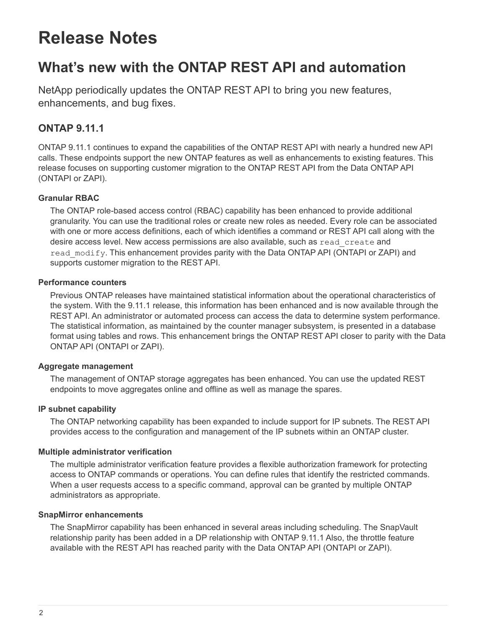# <span id="page-3-0"></span>**Release Notes**

## <span id="page-3-1"></span>**What's new with the ONTAP REST API and automation**

NetApp periodically updates the ONTAP REST API to bring you new features, enhancements, and bug fixes.

## **ONTAP 9.11.1**

ONTAP 9.11.1 continues to expand the capabilities of the ONTAP REST API with nearly a hundred new API calls. These endpoints support the new ONTAP features as well as enhancements to existing features. This release focuses on supporting customer migration to the ONTAP REST API from the Data ONTAP API (ONTAPI or ZAPI).

### **Granular RBAC**

The ONTAP role-based access control (RBAC) capability has been enhanced to provide additional granularity. You can use the traditional roles or create new roles as needed. Every role can be associated with one or more access definitions, each of which identifies a command or REST API call along with the desire access level. New access permissions are also available, such as read\_create and read modify. This enhancement provides parity with the Data ONTAP API (ONTAPI or ZAPI) and supports customer migration to the REST API.

### **Performance counters**

Previous ONTAP releases have maintained statistical information about the operational characteristics of the system. With the 9.11.1 release, this information has been enhanced and is now available through the REST API. An administrator or automated process can access the data to determine system performance. The statistical information, as maintained by the counter manager subsystem, is presented in a database format using tables and rows. This enhancement brings the ONTAP REST API closer to parity with the Data ONTAP API (ONTAPI or ZAPI).

### **Aggregate management**

The management of ONTAP storage aggregates has been enhanced. You can use the updated REST endpoints to move aggregates online and offline as well as manage the spares.

### **IP subnet capability**

The ONTAP networking capability has been expanded to include support for IP subnets. The REST API provides access to the configuration and management of the IP subnets within an ONTAP cluster.

### **Multiple administrator verification**

The multiple administrator verification feature provides a flexible authorization framework for protecting access to ONTAP commands or operations. You can define rules that identify the restricted commands. When a user requests access to a specific command, approval can be granted by multiple ONTAP administrators as appropriate.

### **SnapMirror enhancements**

The SnapMirror capability has been enhanced in several areas including scheduling. The SnapVault relationship parity has been added in a DP relationship with ONTAP 9.11.1 Also, the throttle feature available with the REST API has reached parity with the Data ONTAP API (ONTAPI or ZAPI).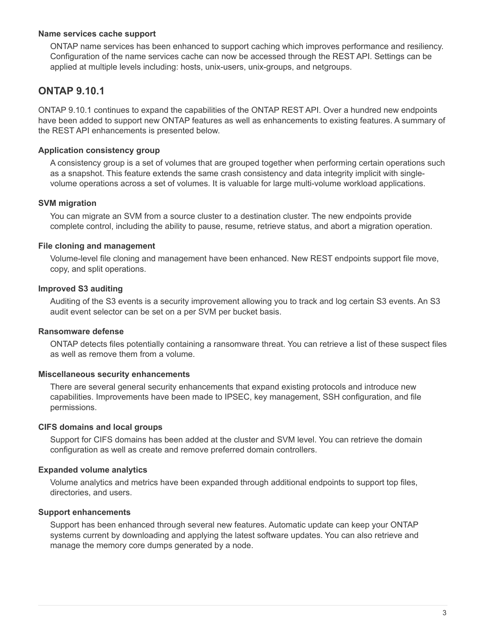### **Name services cache support**

ONTAP name services has been enhanced to support caching which improves performance and resiliency. Configuration of the name services cache can now be accessed through the REST API. Settings can be applied at multiple levels including: hosts, unix-users, unix-groups, and netgroups.

## **ONTAP 9.10.1**

ONTAP 9.10.1 continues to expand the capabilities of the ONTAP REST API. Over a hundred new endpoints have been added to support new ONTAP features as well as enhancements to existing features. A summary of the REST API enhancements is presented below.

### **Application consistency group**

A consistency group is a set of volumes that are grouped together when performing certain operations such as a snapshot. This feature extends the same crash consistency and data integrity implicit with singlevolume operations across a set of volumes. It is valuable for large multi-volume workload applications.

### **SVM migration**

You can migrate an SVM from a source cluster to a destination cluster. The new endpoints provide complete control, including the ability to pause, resume, retrieve status, and abort a migration operation.

### **File cloning and management**

Volume-level file cloning and management have been enhanced. New REST endpoints support file move, copy, and split operations.

### **Improved S3 auditing**

Auditing of the S3 events is a security improvement allowing you to track and log certain S3 events. An S3 audit event selector can be set on a per SVM per bucket basis.

### **Ransomware defense**

ONTAP detects files potentially containing a ransomware threat. You can retrieve a list of these suspect files as well as remove them from a volume.

### **Miscellaneous security enhancements**

There are several general security enhancements that expand existing protocols and introduce new capabilities. Improvements have been made to IPSEC, key management, SSH configuration, and file permissions.

### **CIFS domains and local groups**

Support for CIFS domains has been added at the cluster and SVM level. You can retrieve the domain configuration as well as create and remove preferred domain controllers.

### **Expanded volume analytics**

Volume analytics and metrics have been expanded through additional endpoints to support top files, directories, and users.

#### **Support enhancements**

Support has been enhanced through several new features. Automatic update can keep your ONTAP systems current by downloading and applying the latest software updates. You can also retrieve and manage the memory core dumps generated by a node.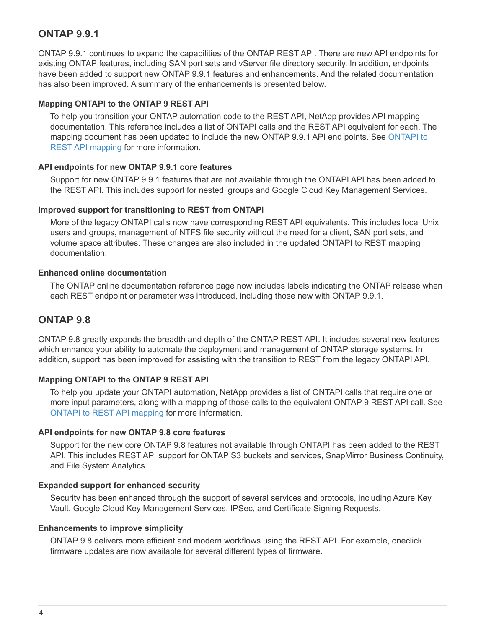## **ONTAP 9.9.1**

ONTAP 9.9.1 continues to expand the capabilities of the ONTAP REST API. There are new API endpoints for existing ONTAP features, including SAN port sets and vServer file directory security. In addition, endpoints have been added to support new ONTAP 9.9.1 features and enhancements. And the related documentation has also been improved. A summary of the enhancements is presented below.

### **Mapping ONTAPI to the ONTAP 9 REST API**

To help you transition your ONTAP automation code to the REST API, NetApp provides API mapping documentation. This reference includes a list of ONTAPI calls and the REST API equivalent for each. The mapping document has been updated to include the new ONTAP 9.9.1 API end points. See [ONTAPI to](https://library.netapp.com/ecm/ecm_download_file/ECMLP2876895) [REST API mapping](https://library.netapp.com/ecm/ecm_download_file/ECMLP2876895) for more information.

### **API endpoints for new ONTAP 9.9.1 core features**

Support for new ONTAP 9.9.1 features that are not available through the ONTAPI API has been added to the REST API. This includes support for nested igroups and Google Cloud Key Management Services.

### **Improved support for transitioning to REST from ONTAPI**

More of the legacy ONTAPI calls now have corresponding REST API equivalents. This includes local Unix users and groups, management of NTFS file security without the need for a client, SAN port sets, and volume space attributes. These changes are also included in the updated ONTAPI to REST mapping documentation.

### **Enhanced online documentation**

The ONTAP online documentation reference page now includes labels indicating the ONTAP release when each REST endpoint or parameter was introduced, including those new with ONTAP 9.9.1.

## **ONTAP 9.8**

ONTAP 9.8 greatly expands the breadth and depth of the ONTAP REST API. It includes several new features which enhance your ability to automate the deployment and management of ONTAP storage systems. In addition, support has been improved for assisting with the transition to REST from the legacy ONTAPI API.

### **Mapping ONTAPI to the ONTAP 9 REST API**

To help you update your ONTAPI automation, NetApp provides a list of ONTAPI calls that require one or more input parameters, along with a mapping of those calls to the equivalent ONTAP 9 REST API call. See [ONTAPI to REST API mapping](https://library.netapp.com/ecm/ecm_download_file/ECMLP2874886) for more information.

### **API endpoints for new ONTAP 9.8 core features**

Support for the new core ONTAP 9.8 features not available through ONTAPI has been added to the REST API. This includes REST API support for ONTAP S3 buckets and services, SnapMirror Business Continuity, and File System Analytics.

### **Expanded support for enhanced security**

Security has been enhanced through the support of several services and protocols, including Azure Key Vault, Google Cloud Key Management Services, IPSec, and Certificate Signing Requests.

### **Enhancements to improve simplicity**

ONTAP 9.8 delivers more efficient and modern workflows using the REST API. For example, oneclick firmware updates are now available for several different types of firmware.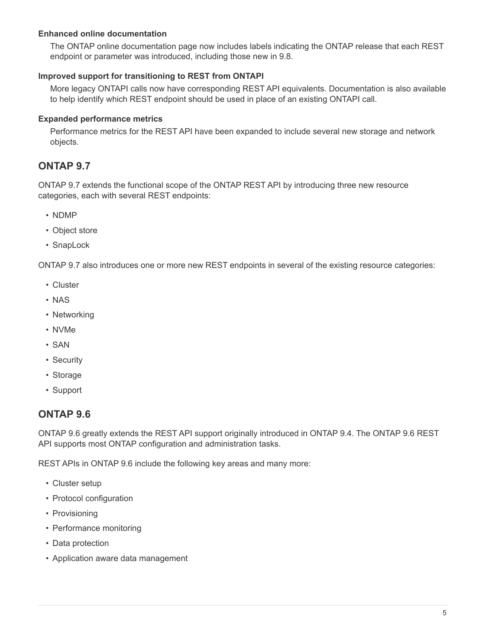### **Enhanced online documentation**

The ONTAP online documentation page now includes labels indicating the ONTAP release that each REST endpoint or parameter was introduced, including those new in 9.8.

### **Improved support for transitioning to REST from ONTAPI**

More legacy ONTAPI calls now have corresponding REST API equivalents. Documentation is also available to help identify which REST endpoint should be used in place of an existing ONTAPI call.

### **Expanded performance metrics**

Performance metrics for the REST API have been expanded to include several new storage and network objects.

## **ONTAP 9.7**

ONTAP 9.7 extends the functional scope of the ONTAP REST API by introducing three new resource categories, each with several REST endpoints:

- NDMP
- Object store
- SnapLock

ONTAP 9.7 also introduces one or more new REST endpoints in several of the existing resource categories:

- Cluster
- NAS
- Networking
- NVMe
- SAN
- Security
- Storage
- Support

## **ONTAP 9.6**

ONTAP 9.6 greatly extends the REST API support originally introduced in ONTAP 9.4. The ONTAP 9.6 REST API supports most ONTAP configuration and administration tasks.

REST APIs in ONTAP 9.6 include the following key areas and many more:

- Cluster setup
- Protocol configuration
- Provisioning
- Performance monitoring
- Data protection
- Application aware data management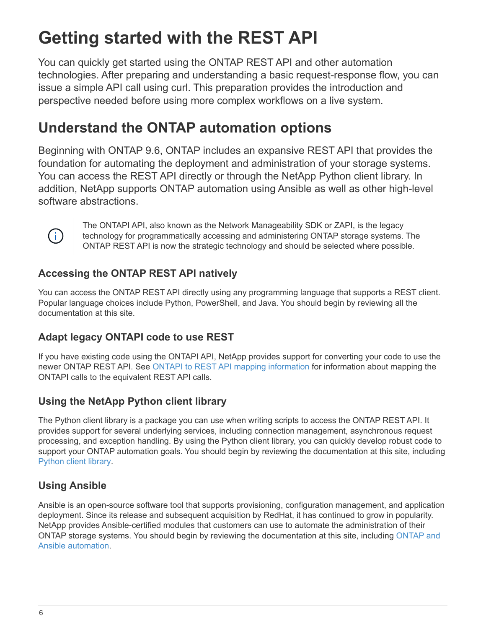# <span id="page-7-0"></span>**Getting started with the REST API**

You can quickly get started using the ONTAP REST API and other automation technologies. After preparing and understanding a basic request-response flow, you can issue a simple API call using curl. This preparation provides the introduction and perspective needed before using more complex workflows on a live system.

## <span id="page-7-1"></span>**Understand the ONTAP automation options**

Beginning with ONTAP 9.6, ONTAP includes an expansive REST API that provides the foundation for automating the deployment and administration of your storage systems. You can access the REST API directly or through the NetApp Python client library. In addition, NetApp supports ONTAP automation using Ansible as well as other high-level software abstractions.



The ONTAPI API, also known as the Network Manageability SDK or ZAPI, is the legacy technology for programmatically accessing and administering ONTAP storage systems. The ONTAP REST API is now the strategic technology and should be selected where possible.

## **Accessing the ONTAP REST API natively**

You can access the ONTAP REST API directly using any programming language that supports a REST client. Popular language choices include Python, PowerShell, and Java. You should begin by reviewing all the documentation at this site.

## **Adapt legacy ONTAPI code to use REST**

If you have existing code using the ONTAPI API, NetApp provides support for converting your code to use the newer ONTAP REST API. See [ONTAPI to REST API mapping information](https://library.netapp.com/ecm/ecm_download_file/ECMLP2879870) for information about mapping the ONTAPI calls to the equivalent REST API calls.

## **Using the NetApp Python client library**

The Python client library is a package you can use when writing scripts to access the ONTAP REST API. It provides support for several underlying services, including connection management, asynchronous request processing, and exception handling. By using the Python client library, you can quickly develop robust code to support your ONTAP automation goals. You should begin by reviewing the documentation at this site, including [Python client library.](#page-61-1)

## **Using Ansible**

Ansible is an open-source software tool that supports provisioning, configuration management, and application deployment. Since its release and subsequent acquisition by RedHat, it has continued to grow in popularity. NetApp provides Ansible-certified modules that customers can use to automate the administration of their ONTAP storage systems. You should begin by reviewing the documentation at this site, including [ONTAP and](#page-65-1) [Ansible automation](#page-65-1).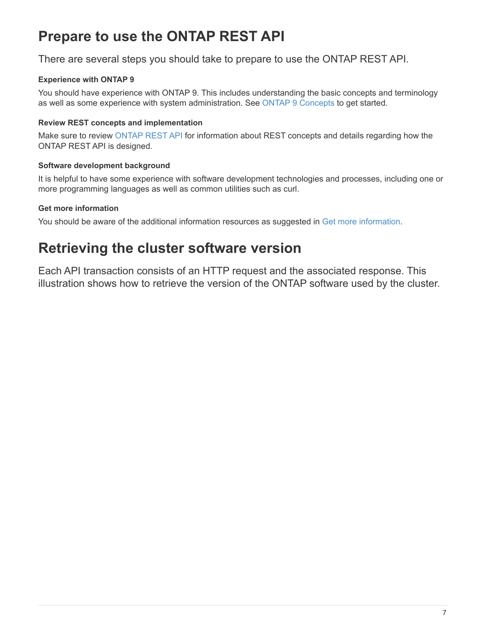## <span id="page-8-0"></span>**Prepare to use the ONTAP REST API**

There are several steps you should take to prepare to use the ONTAP REST API.

### **Experience with ONTAP 9**

You should have experience with ONTAP 9. This includes understanding the basic concepts and terminology as well as some experience with system administration. See [ONTAP 9 Concepts](https://docs.netapp.com/ontap-9/topic/com.netapp.doc.dot-cm-concepts/home.html) to get started.

### **Review REST concepts and implementation**

Make sure to review [ONTAP REST API](#page-11-2) for information about REST concepts and details regarding how the ONTAP REST API is designed.

### **Software development background**

It is helpful to have some experience with software development technologies and processes, including one or more programming languages as well as common utilities such as curl.

### **Get more information**

You should be aware of the additional information resources as suggested in [Get more information.](#page-68-0)

## <span id="page-8-1"></span>**Retrieving the cluster software version**

Each API transaction consists of an HTTP request and the associated response. This illustration shows how to retrieve the version of the ONTAP software used by the cluster.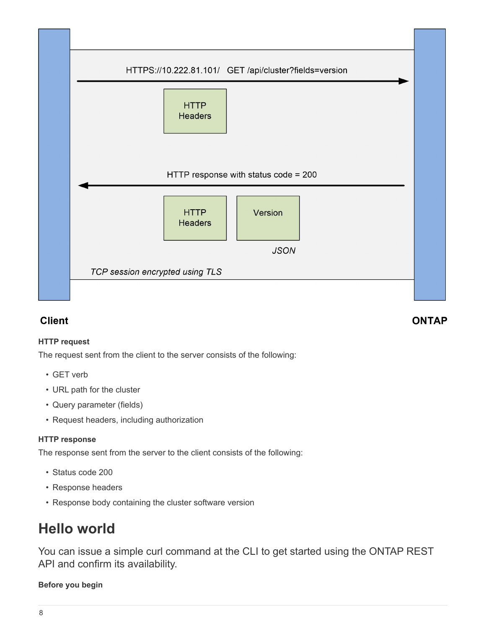

## **Client**

### **HTTP request**

The request sent from the client to the server consists of the following:

- GET verb
- URL path for the cluster
- Query parameter (fields)
- Request headers, including authorization

### **HTTP response**

The response sent from the server to the client consists of the following:

- Status code 200
- Response headers
- Response body containing the cluster software version

## <span id="page-9-0"></span>**Hello world**

You can issue a simple curl command at the CLI to get started using the ONTAP REST API and confirm its availability.

### **Before you begin**

## **ONTAP**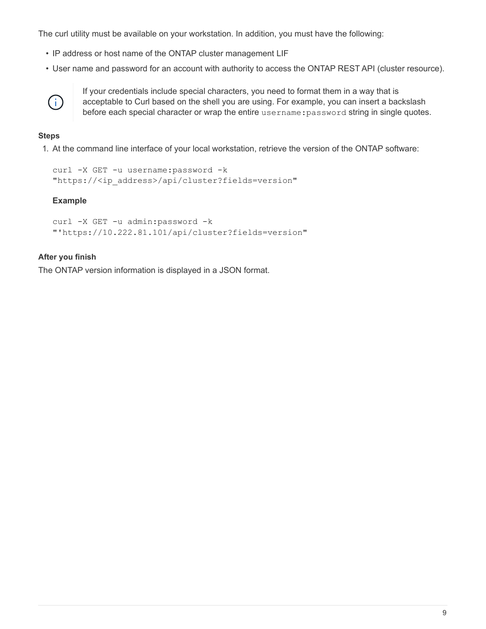The curl utility must be available on your workstation. In addition, you must have the following:

- IP address or host name of the ONTAP cluster management LIF
- User name and password for an account with authority to access the ONTAP REST API (cluster resource).



If your credentials include special characters, you need to format them in a way that is acceptable to Curl based on the shell you are using. For example, you can insert a backslash before each special character or wrap the entire username:password string in single quotes.

### **Steps**

1. At the command line interface of your local workstation, retrieve the version of the ONTAP software:

```
curl -X GET -u username:password -k
"https://<ip_address>/api/cluster?fields=version"
```
### **Example**

```
curl -X GET -u admin:password -k
"'https://10.222.81.101/api/cluster?fields=version"
```
### **After you finish**

The ONTAP version information is displayed in a JSON format.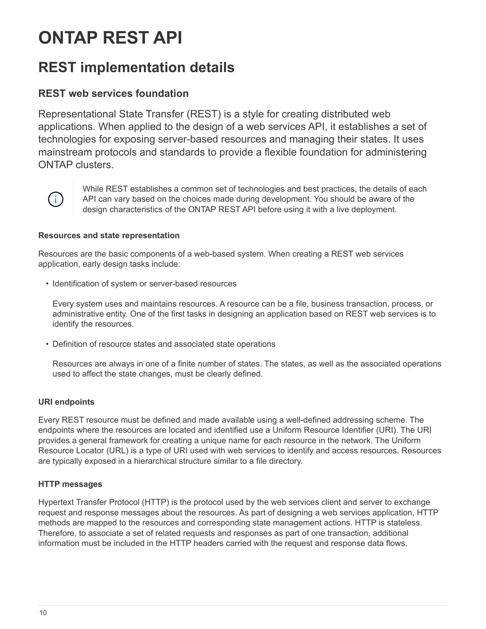# <span id="page-11-0"></span>**ONTAP REST API**

## <span id="page-11-1"></span>**REST implementation details**

## <span id="page-11-2"></span>**REST web services foundation**

Representational State Transfer (REST) is a style for creating distributed web applications. When applied to the design of a web services API, it establishes a set of technologies for exposing server-based resources and managing their states. It uses mainstream protocols and standards to provide a flexible foundation for administering ONTAP clusters.



While REST establishes a common set of technologies and best practices, the details of each API can vary based on the choices made during development. You should be aware of the design characteristics of the ONTAP REST API before using it with a live deployment.

### **Resources and state representation**

Resources are the basic components of a web-based system. When creating a REST web services application, early design tasks include:

• Identification of system or server-based resources

Every system uses and maintains resources. A resource can be a file, business transaction, process, or administrative entity. One of the first tasks in designing an application based on REST web services is to identify the resources.

• Definition of resource states and associated state operations

Resources are always in one of a finite number of states. The states, as well as the associated operations used to affect the state changes, must be clearly defined.

### **URI endpoints**

Every REST resource must be defined and made available using a well-defined addressing scheme. The endpoints where the resources are located and identified use a Uniform Resource Identifier (URI). The URI provides a general framework for creating a unique name for each resource in the network. The Uniform Resource Locator (URL) is a type of URI used with web services to identify and access resources. Resources are typically exposed in a hierarchical structure similar to a file directory.

### **HTTP messages**

Hypertext Transfer Protocol (HTTP) is the protocol used by the web services client and server to exchange request and response messages about the resources. As part of designing a web services application, HTTP methods are mapped to the resources and corresponding state management actions. HTTP is stateless. Therefore, to associate a set of related requests and responses as part of one transaction, additional information must be included in the HTTP headers carried with the request and response data flows.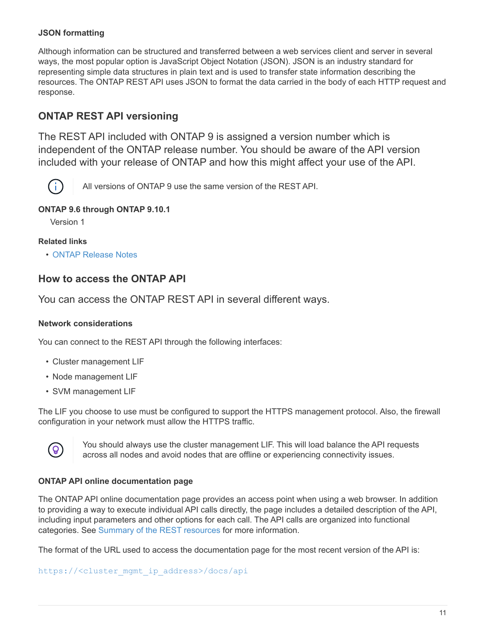### **JSON formatting**

Although information can be structured and transferred between a web services client and server in several ways, the most popular option is JavaScript Object Notation (JSON). JSON is an industry standard for representing simple data structures in plain text and is used to transfer state information describing the resources. The ONTAP REST API uses JSON to format the data carried in the body of each HTTP request and response.

## **ONTAP REST API versioning**

The REST API included with ONTAP 9 is assigned a version number which is independent of the ONTAP release number. You should be aware of the API version included with your release of ONTAP and how this might affect your use of the API.



All versions of ONTAP 9 use the same version of the REST API.

### **ONTAP 9.6 through ONTAP 9.10.1**

Version 1

### **Related links**

• [ONTAP Release Notes](#page-3-1)

## **How to access the ONTAP API**

You can access the ONTAP REST API in several different ways.

### **Network considerations**

You can connect to the REST API through the following interfaces:

- Cluster management LIF
- Node management LIF
- SVM management LIF

The LIF you choose to use must be configured to support the HTTPS management protocol. Also, the firewall configuration in your network must allow the HTTPS traffic.



You should always use the cluster management LIF. This will load balance the API requests across all nodes and avoid nodes that are offline or experiencing connectivity issues.

### **ONTAP API online documentation page**

The ONTAP API online documentation page provides an access point when using a web browser. In addition to providing a way to execute individual API calls directly, the page includes a detailed description of the API, including input parameters and other options for each call. The API calls are organized into functional categories. See [Summary of the REST resources](#page-26-1) for more information.

The format of the URL used to access the documentation page for the most recent version of the API is:

#### https://<cluster mgmt ip address>/docs/api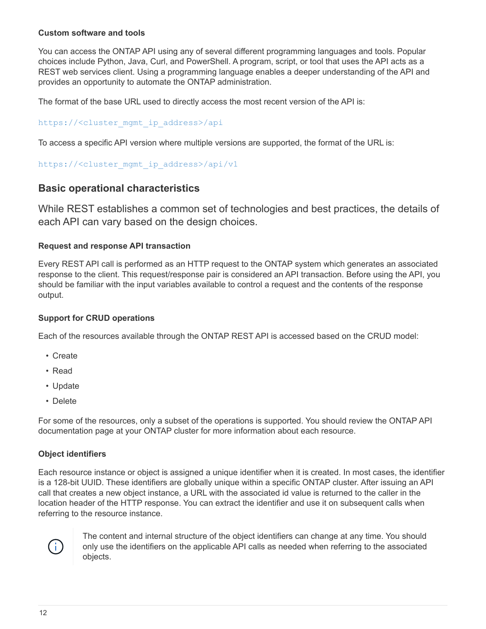### **Custom software and tools**

You can access the ONTAP API using any of several different programming languages and tools. Popular choices include Python, Java, Curl, and PowerShell. A program, script, or tool that uses the API acts as a REST web services client. Using a programming language enables a deeper understanding of the API and provides an opportunity to automate the ONTAP administration.

The format of the base URL used to directly access the most recent version of the API is:

### https://<cluster mgmt ip address>/api

To access a specific API version where multiple versions are supported, the format of the URL is:

```
https://<cluster_mgmt_ip_address>/api/v1
```
### **Basic operational characteristics**

While REST establishes a common set of technologies and best practices, the details of each API can vary based on the design choices.

### **Request and response API transaction**

Every REST API call is performed as an HTTP request to the ONTAP system which generates an associated response to the client. This request/response pair is considered an API transaction. Before using the API, you should be familiar with the input variables available to control a request and the contents of the response output.

### **Support for CRUD operations**

Each of the resources available through the ONTAP REST API is accessed based on the CRUD model:

- Create
- Read
- Update
- Delete

For some of the resources, only a subset of the operations is supported. You should review the ONTAP API documentation page at your ONTAP cluster for more information about each resource.

### **Object identifiers**

Each resource instance or object is assigned a unique identifier when it is created. In most cases, the identifier is a 128-bit UUID. These identifiers are globally unique within a specific ONTAP cluster. After issuing an API call that creates a new object instance, a URL with the associated id value is returned to the caller in the location header of the HTTP response. You can extract the identifier and use it on subsequent calls when referring to the resource instance.



The content and internal structure of the object identifiers can change at any time. You should only use the identifiers on the applicable API calls as needed when referring to the associated objects.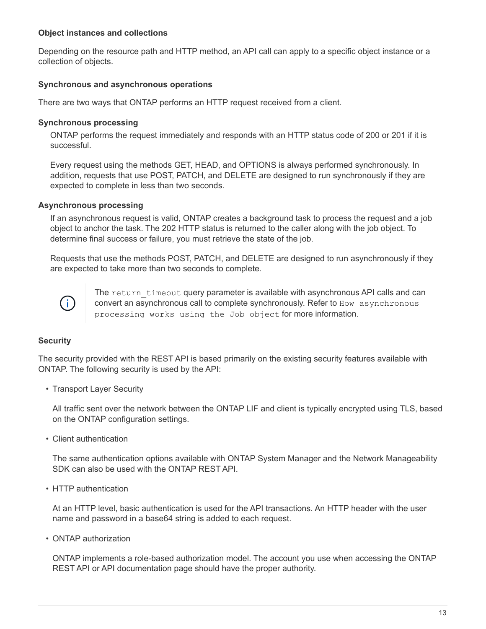### **Object instances and collections**

Depending on the resource path and HTTP method, an API call can apply to a specific object instance or a collection of objects.

### **Synchronous and asynchronous operations**

There are two ways that ONTAP performs an HTTP request received from a client.

### **Synchronous processing**

ONTAP performs the request immediately and responds with an HTTP status code of 200 or 201 if it is successful.

Every request using the methods GET, HEAD, and OPTIONS is always performed synchronously. In addition, requests that use POST, PATCH, and DELETE are designed to run synchronously if they are expected to complete in less than two seconds.

### **Asynchronous processing**

If an asynchronous request is valid, ONTAP creates a background task to process the request and a job object to anchor the task. The 202 HTTP status is returned to the caller along with the job object. To determine final success or failure, you must retrieve the state of the job.

Requests that use the methods POST, PATCH, and DELETE are designed to run asynchronously if they are expected to take more than two seconds to complete.



The return timeout query parameter is available with asynchronous API calls and can convert an asynchronous call to complete synchronously. Refer to How asynchronous processing works using the Job object for more information.

### **Security**

The security provided with the REST API is based primarily on the existing security features available with ONTAP. The following security is used by the API:

• Transport Layer Security

All traffic sent over the network between the ONTAP LIF and client is typically encrypted using TLS, based on the ONTAP configuration settings.

• Client authentication

The same authentication options available with ONTAP System Manager and the Network Manageability SDK can also be used with the ONTAP REST API.

• HTTP authentication

At an HTTP level, basic authentication is used for the API transactions. An HTTP header with the user name and password in a base64 string is added to each request.

• ONTAP authorization

ONTAP implements a role-based authorization model. The account you use when accessing the ONTAP REST API or API documentation page should have the proper authority.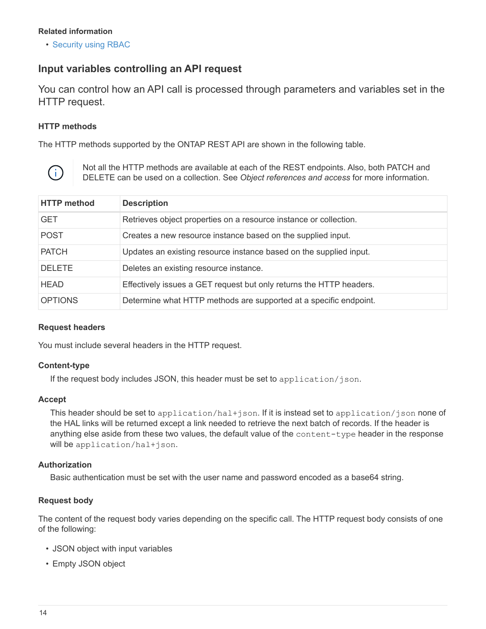### **Related information**

• [Security using RBAC](#page-24-0)

## <span id="page-15-0"></span>**Input variables controlling an API request**

You can control how an API call is processed through parameters and variables set in the HTTP request.

### **HTTP methods**

The HTTP methods supported by the ONTAP REST API are shown in the following table.



Not all the HTTP methods are available at each of the REST endpoints. Also, both PATCH and DELETE can be used on a collection. See *Object references and access* for more information.

| <b>HTTP</b> method | <b>Description</b>                                                  |
|--------------------|---------------------------------------------------------------------|
| <b>GET</b>         | Retrieves object properties on a resource instance or collection.   |
| <b>POST</b>        | Creates a new resource instance based on the supplied input.        |
| <b>PATCH</b>       | Updates an existing resource instance based on the supplied input.  |
| <b>DELETE</b>      | Deletes an existing resource instance.                              |
| <b>HEAD</b>        | Effectively issues a GET request but only returns the HTTP headers. |
| <b>OPTIONS</b>     | Determine what HTTP methods are supported at a specific endpoint.   |

### **Request headers**

You must include several headers in the HTTP request.

### **Content-type**

If the request body includes JSON, this header must be set to application/json.

### **Accept**

This header should be set to application/hal+json. If it is instead set to application/json none of the HAL links will be returned except a link needed to retrieve the next batch of records. If the header is anything else aside from these two values, the default value of the content-type header in the response will be application/hal+json.

### **Authorization**

Basic authentication must be set with the user name and password encoded as a base64 string.

### **Request body**

The content of the request body varies depending on the specific call. The HTTP request body consists of one of the following:

- JSON object with input variables
- Empty JSON object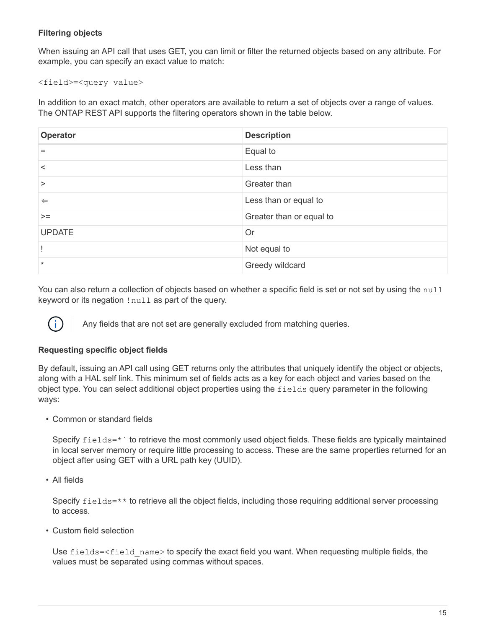### **Filtering objects**

When issuing an API call that uses GET, you can limit or filter the returned objects based on any attribute. For example, you can specify an exact value to match:

<field>=<query value>

In addition to an exact match, other operators are available to return a set of objects over a range of values. The ONTAP REST API supports the filtering operators shown in the table below.

| Operator      | <b>Description</b>       |
|---------------|--------------------------|
| $=$           | Equal to                 |
| $\,<\,$       | Less than                |
| $\geq$        | Greater than             |
| $\Leftarrow$  | Less than or equal to    |
| $>=$          | Greater than or equal to |
| <b>UPDATE</b> | Or                       |
|               | Not equal to             |
| $\star$       | Greedy wildcard          |

You can also return a collection of objects based on whether a specific field is set or not set by using the null keyword or its negation !null as part of the query.

Any fields that are not set are generally excluded from matching queries.

### **Requesting specific object fields**

By default, issuing an API call using GET returns only the attributes that uniquely identify the object or objects, along with a HAL self link. This minimum set of fields acts as a key for each object and varies based on the object type. You can select additional object properties using the fields query parameter in the following ways:

• Common or standard fields

Specify fields=\* bo retrieve the most commonly used object fields. These fields are typically maintained in local server memory or require little processing to access. These are the same properties returned for an object after using GET with a URL path key (UUID).

• All fields

Ĥ.

Specify fields=\*\* to retrieve all the object fields, including those requiring additional server processing to access.

• Custom field selection

Use fields=<field name> to specify the exact field you want. When requesting multiple fields, the values must be separated using commas without spaces.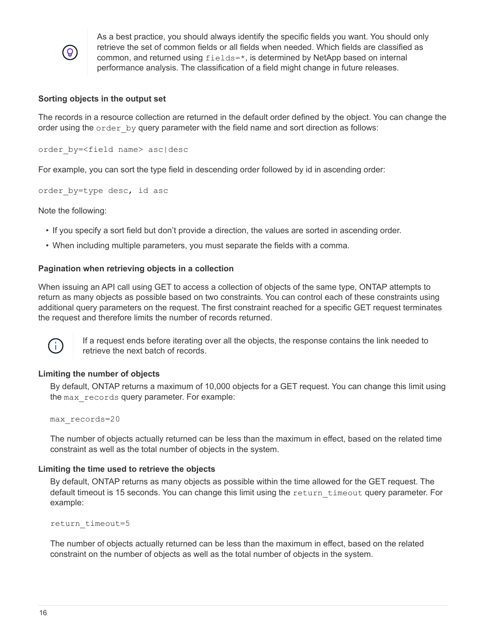

As a best practice, you should always identify the specific fields you want. You should only retrieve the set of common fields or all fields when needed. Which fields are classified as common, and returned using fields=\*, is determined by NetApp based on internal performance analysis. The classification of a field might change in future releases.

### **Sorting objects in the output set**

The records in a resource collection are returned in the default order defined by the object. You can change the order using the  $\text{order }$  by query parameter with the field name and sort direction as follows:

order\_by=<field name> asc|desc

For example, you can sort the type field in descending order followed by id in ascending order:

order by=type desc, id asc

Note the following:

- If you specify a sort field but don't provide a direction, the values are sorted in ascending order.
- When including multiple parameters, you must separate the fields with a comma.

### **Pagination when retrieving objects in a collection**

When issuing an API call using GET to access a collection of objects of the same type, ONTAP attempts to return as many objects as possible based on two constraints. You can control each of these constraints using additional query parameters on the request. The first constraint reached for a specific GET request terminates the request and therefore limits the number of records returned.



If a request ends before iterating over all the objects, the response contains the link needed to retrieve the next batch of records.

### **Limiting the number of objects**

By default, ONTAP returns a maximum of 10,000 objects for a GET request. You can change this limit using the max records query parameter. For example:

```
max_records=20
```
The number of objects actually returned can be less than the maximum in effect, based on the related time constraint as well as the total number of objects in the system.

#### **Limiting the time used to retrieve the objects**

By default, ONTAP returns as many objects as possible within the time allowed for the GET request. The default timeout is 15 seconds. You can change this limit using the return timeout query parameter. For example:

```
return_timeout=5
```
The number of objects actually returned can be less than the maximum in effect, based on the related constraint on the number of objects as well as the total number of objects in the system.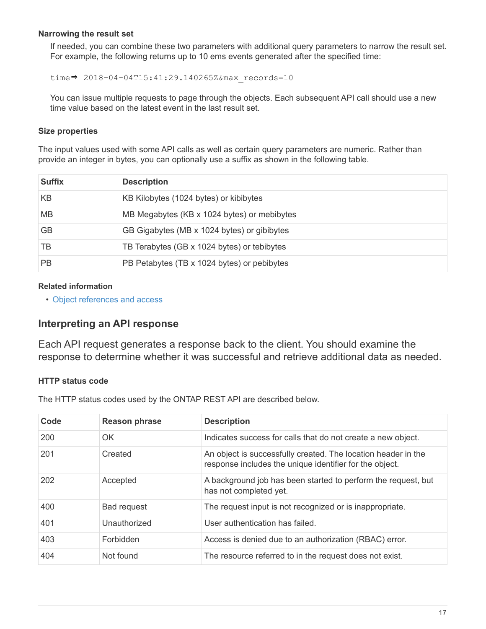### **Narrowing the result set**

If needed, you can combine these two parameters with additional query parameters to narrow the result set. For example, the following returns up to 10 ems events generated after the specified time:

time⇒ 2018-04-04T15:41:29.140265Z&max\_records=10

You can issue multiple requests to page through the objects. Each subsequent API call should use a new time value based on the latest event in the last result set.

### **Size properties**

The input values used with some API calls as well as certain query parameters are numeric. Rather than provide an integer in bytes, you can optionally use a suffix as shown in the following table.

| <b>Suffix</b> | <b>Description</b>                          |
|---------------|---------------------------------------------|
| KB            | KB Kilobytes (1024 bytes) or kibibytes      |
| <b>MB</b>     | MB Megabytes (KB x 1024 bytes) or mebibytes |
| <b>GB</b>     | GB Gigabytes (MB x 1024 bytes) or gibibytes |
| TВ            | TB Terabytes (GB x 1024 bytes) or tebibytes |
| <b>PB</b>     | PB Petabytes (TB x 1024 bytes) or pebibytes |

### **Related information**

• [Object references and access](#page-22-1)

## **Interpreting an API response**

Each API request generates a response back to the client. You should examine the response to determine whether it was successful and retrieve additional data as needed.

### **HTTP status code**

The HTTP status codes used by the ONTAP REST API are described below.

| Code | <b>Reason phrase</b> | <b>Description</b>                                                                                                       |
|------|----------------------|--------------------------------------------------------------------------------------------------------------------------|
| 200  | OK                   | Indicates success for calls that do not create a new object.                                                             |
| 201  | Created              | An object is successfully created. The location header in the<br>response includes the unique identifier for the object. |
| 202  | Accepted             | A background job has been started to perform the request, but<br>has not completed yet.                                  |
| 400  | <b>Bad request</b>   | The request input is not recognized or is inappropriate.                                                                 |
| 401  | Unauthorized         | User authentication has failed.                                                                                          |
| 403  | Forbidden            | Access is denied due to an authorization (RBAC) error.                                                                   |
| 404  | Not found            | The resource referred to in the request does not exist.                                                                  |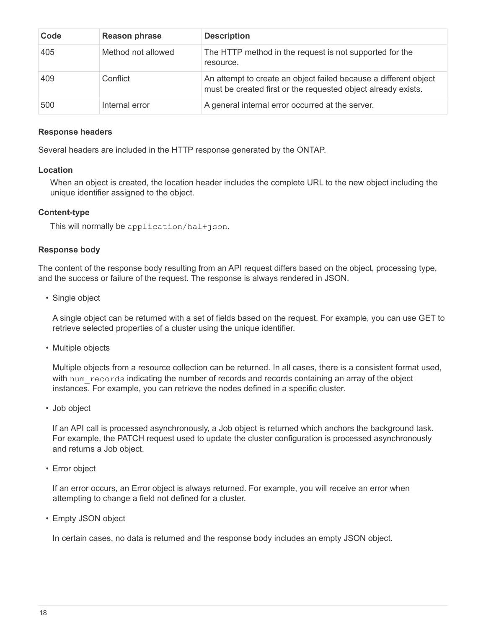| Code | <b>Reason phrase</b> | <b>Description</b>                                                                                                                |
|------|----------------------|-----------------------------------------------------------------------------------------------------------------------------------|
| 405  | Method not allowed   | The HTTP method in the request is not supported for the<br>resource.                                                              |
| 409  | Conflict             | An attempt to create an object failed because a different object<br>must be created first or the requested object already exists. |
| 500  | Internal error       | A general internal error occurred at the server.                                                                                  |

### **Response headers**

Several headers are included in the HTTP response generated by the ONTAP.

### **Location**

When an object is created, the location header includes the complete URL to the new object including the unique identifier assigned to the object.

### **Content-type**

This will normally be application/hal+json.

### **Response body**

The content of the response body resulting from an API request differs based on the object, processing type, and the success or failure of the request. The response is always rendered in JSON.

• Single object

A single object can be returned with a set of fields based on the request. For example, you can use GET to retrieve selected properties of a cluster using the unique identifier.

• Multiple objects

Multiple objects from a resource collection can be returned. In all cases, there is a consistent format used, with num records indicating the number of records and records containing an array of the object instances. For example, you can retrieve the nodes defined in a specific cluster.

• Job object

If an API call is processed asynchronously, a Job object is returned which anchors the background task. For example, the PATCH request used to update the cluster configuration is processed asynchronously and returns a Job object.

• Error object

If an error occurs, an Error object is always returned. For example, you will receive an error when attempting to change a field not defined for a cluster.

• Empty JSON object

In certain cases, no data is returned and the response body includes an empty JSON object.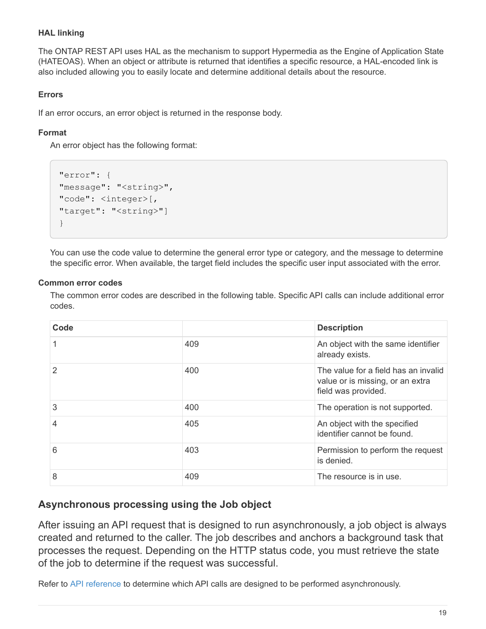### **HAL linking**

The ONTAP REST API uses HAL as the mechanism to support Hypermedia as the Engine of Application State (HATEOAS). When an object or attribute is returned that identifies a specific resource, a HAL-encoded link is also included allowing you to easily locate and determine additional details about the resource.

### **Errors**

If an error occurs, an error object is returned in the response body.

### **Format**

An error object has the following format:

```
"error": {
"message": "<string>",
"code": <integer>[,
"target": "<string>"]
}
```
You can use the code value to determine the general error type or category, and the message to determine the specific error. When available, the target field includes the specific user input associated with the error.

### **Common error codes**

The common error codes are described in the following table. Specific API calls can include additional error codes.

| Code |     | <b>Description</b>                                                                              |
|------|-----|-------------------------------------------------------------------------------------------------|
|      | 409 | An object with the same identifier<br>already exists.                                           |
| 2    | 400 | The value for a field has an invalid<br>value or is missing, or an extra<br>field was provided. |
| 3    | 400 | The operation is not supported.                                                                 |
| 4    | 405 | An object with the specified<br>identifier cannot be found.                                     |
| 6    | 403 | Permission to perform the request<br>is denied.                                                 |
| 8    | 409 | The resource is in use.                                                                         |

## **Asynchronous processing using the Job object**

After issuing an API request that is designed to run asynchronously, a job object is always created and returned to the caller. The job describes and anchors a background task that processes the request. Depending on the HTTP status code, you must retrieve the state of the job to determine if the request was successful.

Refer to [API reference](#page-64-0) to determine which API calls are designed to be performed asynchronously.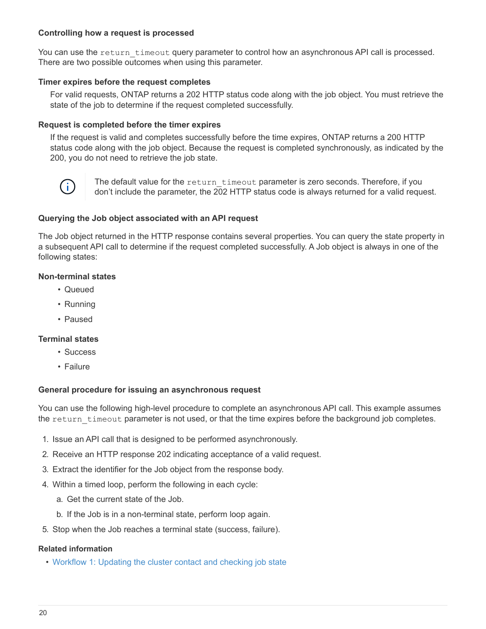### **Controlling how a request is processed**

You can use the return timeout query parameter to control how an asynchronous API call is processed. There are two possible outcomes when using this parameter.

### **Timer expires before the request completes**

For valid requests, ONTAP returns a 202 HTTP status code along with the job object. You must retrieve the state of the job to determine if the request completed successfully.

### **Request is completed before the timer expires**

If the request is valid and completes successfully before the time expires, ONTAP returns a 200 HTTP status code along with the job object. Because the request is completed synchronously, as indicated by the 200, you do not need to retrieve the job state.



The default value for the return timeout parameter is zero seconds. Therefore, if you don't include the parameter, the 202 HTTP status code is always returned for a valid request.

### **Querying the Job object associated with an API request**

The Job object returned in the HTTP response contains several properties. You can query the state property in a subsequent API call to determine if the request completed successfully. A Job object is always in one of the following states:

### **Non-terminal states**

- Queued
- Running
- Paused

### **Terminal states**

- Success
- Failure

### **General procedure for issuing an asynchronous request**

You can use the following high-level procedure to complete an asynchronous API call. This example assumes the return timeout parameter is not used, or that the time expires before the background job completes.

- 1. Issue an API call that is designed to be performed asynchronously.
- 2. Receive an HTTP response 202 indicating acceptance of a valid request.
- 3. Extract the identifier for the Job object from the response body.
- 4. Within a timed loop, perform the following in each cycle:
	- a. Get the current state of the Job.
	- b. If the Job is in a non-terminal state, perform loop again.
- 5. Stop when the Job reaches a terminal state (success, failure).

#### **Related information**

• [Workflow 1: Updating the cluster contact and checking job state](#page-46-2)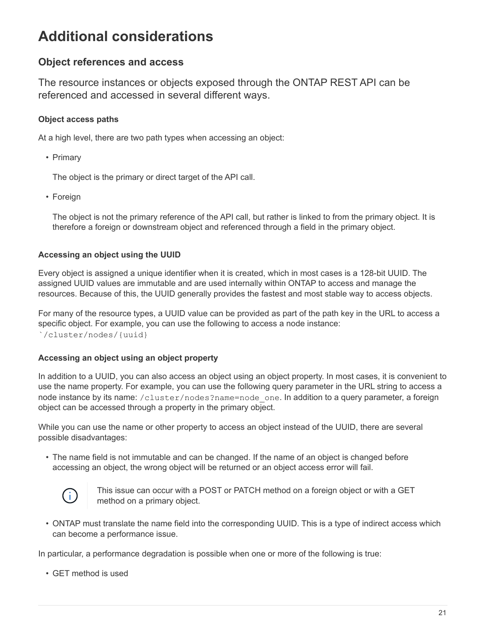## <span id="page-22-0"></span>**Additional considerations**

## <span id="page-22-1"></span>**Object references and access**

The resource instances or objects exposed through the ONTAP REST API can be referenced and accessed in several different ways.

### **Object access paths**

At a high level, there are two path types when accessing an object:

• Primary

The object is the primary or direct target of the API call.

• Foreign

The object is not the primary reference of the API call, but rather is linked to from the primary object. It is therefore a foreign or downstream object and referenced through a field in the primary object.

### **Accessing an object using the UUID**

Every object is assigned a unique identifier when it is created, which in most cases is a 128-bit UUID. The assigned UUID values are immutable and are used internally within ONTAP to access and manage the resources. Because of this, the UUID generally provides the fastest and most stable way to access objects.

For many of the resource types, a UUID value can be provided as part of the path key in the URL to access a specific object. For example, you can use the following to access a node instance: `/cluster/nodes/{uuid}

### **Accessing an object using an object property**

In addition to a UUID, you can also access an object using an object property. In most cases, it is convenient to use the name property. For example, you can use the following query parameter in the URL string to access a node instance by its name: /cluster/nodes?name=node\_one. In addition to a query parameter, a foreign object can be accessed through a property in the primary object.

While you can use the name or other property to access an object instead of the UUID, there are several possible disadvantages:

• The name field is not immutable and can be changed. If the name of an object is changed before accessing an object, the wrong object will be returned or an object access error will fail.



This issue can occur with a POST or PATCH method on a foreign object or with a GET method on a primary object.

• ONTAP must translate the name field into the corresponding UUID. This is a type of indirect access which can become a performance issue.

In particular, a performance degradation is possible when one or more of the following is true:

• GET method is used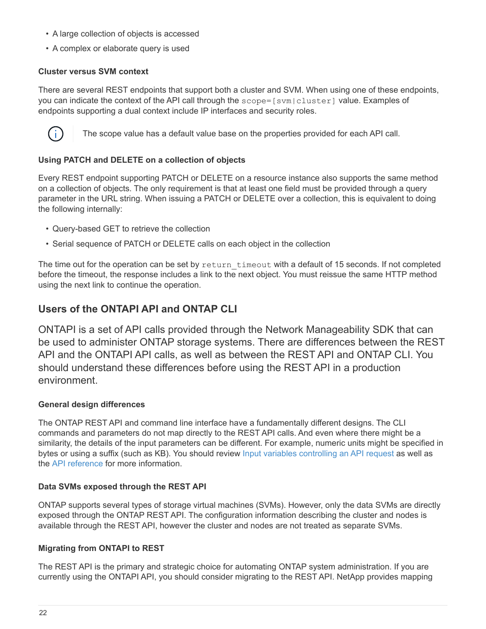- A large collection of objects is accessed
- A complex or elaborate query is used

### **Cluster versus SVM context**

There are several REST endpoints that support both a cluster and SVM. When using one of these endpoints, you can indicate the context of the API call through the scope=[svm|cluster] value. Examples of endpoints supporting a dual context include IP interfaces and security roles.



The scope value has a default value base on the properties provided for each API call.

### **Using PATCH and DELETE on a collection of objects**

Every REST endpoint supporting PATCH or DELETE on a resource instance also supports the same method on a collection of objects. The only requirement is that at least one field must be provided through a query parameter in the URL string. When issuing a PATCH or DELETE over a collection, this is equivalent to doing the following internally:

- Query-based GET to retrieve the collection
- Serial sequence of PATCH or DELETE calls on each object in the collection

The time out for the operation can be set by return timeout with a default of 15 seconds. If not completed before the timeout, the response includes a link to the next object. You must reissue the same HTTP method using the next link to continue the operation.

## **Users of the ONTAPI API and ONTAP CLI**

ONTAPI is a set of API calls provided through the Network Manageability SDK that can be used to administer ONTAP storage systems. There are differences between the REST API and the ONTAPI API calls, as well as between the REST API and ONTAP CLI. You should understand these differences before using the REST API in a production environment.

### **General design differences**

The ONTAP REST API and command line interface have a fundamentally different designs. The CLI commands and parameters do not map directly to the REST API calls. And even where there might be a similarity, the details of the input parameters can be different. For example, numeric units might be specified in bytes or using a suffix (such as KB). You should review [Input variables controlling an API request](#page-15-0) as well as the [API reference](#page-64-0) for more information.

### **Data SVMs exposed through the REST API**

ONTAP supports several types of storage virtual machines (SVMs). However, only the data SVMs are directly exposed through the ONTAP REST API. The configuration information describing the cluster and nodes is available through the REST API, however the cluster and nodes are not treated as separate SVMs.

### **Migrating from ONTAPI to REST**

The REST API is the primary and strategic choice for automating ONTAP system administration. If you are currently using the ONTAPI API, you should consider migrating to the REST API. NetApp provides mapping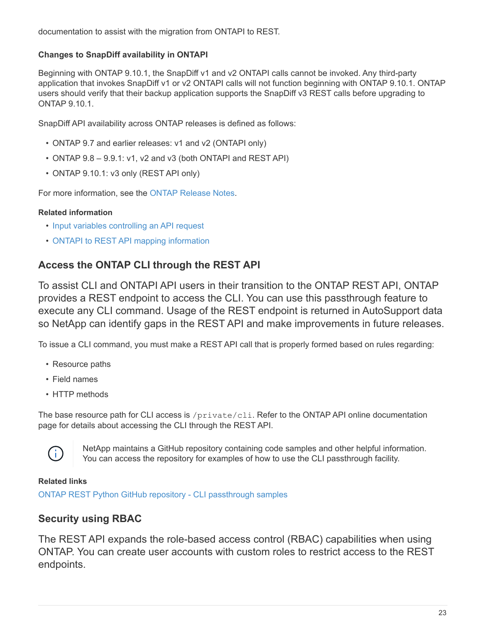documentation to assist with the migration from ONTAPI to REST.

### **Changes to SnapDiff availability in ONTAPI**

Beginning with ONTAP 9.10.1, the SnapDiff v1 and v2 ONTAPI calls cannot be invoked. Any third-party application that invokes SnapDiff v1 or v2 ONTAPI calls will not function beginning with ONTAP 9.10.1. ONTAP users should verify that their backup application supports the SnapDiff v3 REST calls before upgrading to ONTAP 9.10.1.

SnapDiff API availability across ONTAP releases is defined as follows:

- ONTAP 9.7 and earlier releases: v1 and v2 (ONTAPI only)
- ONTAP 9.8 9.9.1: v1, v2 and v3 (both ONTAPI and REST API)
- ONTAP 9.10.1: v3 only (REST API only)

For more information, see the [ONTAP Release Notes.](#page-3-1)

### **Related information**

- [Input variables controlling an API request](#page-15-0)
- [ONTAPI to REST API mapping information](https://library.netapp.com/ecm/ecm_download_file/ECMLP2879870)

## **Access the ONTAP CLI through the REST API**

To assist CLI and ONTAPI API users in their transition to the ONTAP REST API, ONTAP provides a REST endpoint to access the CLI. You can use this passthrough feature to execute any CLI command. Usage of the REST endpoint is returned in AutoSupport data so NetApp can identify gaps in the REST API and make improvements in future releases.

To issue a CLI command, you must make a REST API call that is properly formed based on rules regarding:

- Resource paths
- Field names
- HTTP methods

The base resource path for CLI access is /private/cli. Refer to the ONTAP API online documentation page for details about accessing the CLI through the REST API.



NetApp maintains a GitHub repository containing code samples and other helpful information. You can access the repository for examples of how to use the CLI passthrough facility.

### **Related links**

[ONTAP REST Python GitHub repository - CLI passthrough samples](https://github.com/NetApp/ontap-rest-python/tree/master/examples/rest_api/cli_passthrough_samples)

## <span id="page-24-0"></span>**Security using RBAC**

The REST API expands the role-based access control (RBAC) capabilities when using ONTAP. You can create user accounts with custom roles to restrict access to the REST endpoints.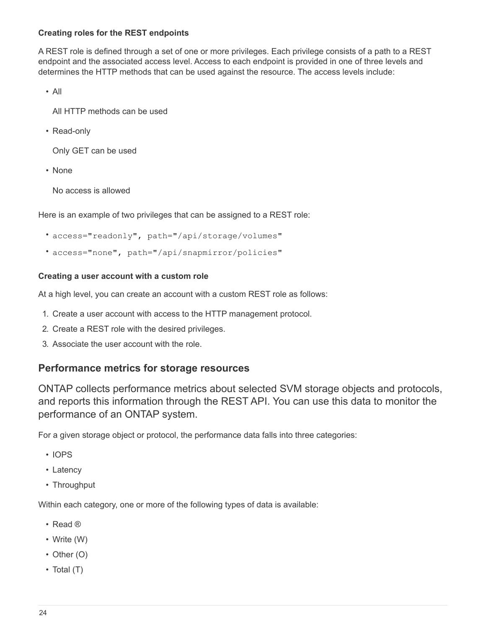### **Creating roles for the REST endpoints**

A REST role is defined through a set of one or more privileges. Each privilege consists of a path to a REST endpoint and the associated access level. Access to each endpoint is provided in one of three levels and determines the HTTP methods that can be used against the resource. The access levels include:

• All

All HTTP methods can be used

• Read-only

Only GET can be used

• None

No access is allowed

Here is an example of two privileges that can be assigned to a REST role:

- access="readonly", path="/api/storage/volumes"
- access="none", path="/api/snapmirror/policies"

### **Creating a user account with a custom role**

At a high level, you can create an account with a custom REST role as follows:

- 1. Create a user account with access to the HTTP management protocol.
- 2. Create a REST role with the desired privileges.
- 3. Associate the user account with the role.

### **Performance metrics for storage resources**

ONTAP collects performance metrics about selected SVM storage objects and protocols, and reports this information through the REST API. You can use this data to monitor the performance of an ONTAP system.

For a given storage object or protocol, the performance data falls into three categories:

- IOPS
- Latency
- Throughput

Within each category, one or more of the following types of data is available:

- Read ®
- Write (W)
- Other (O)
- Total (T)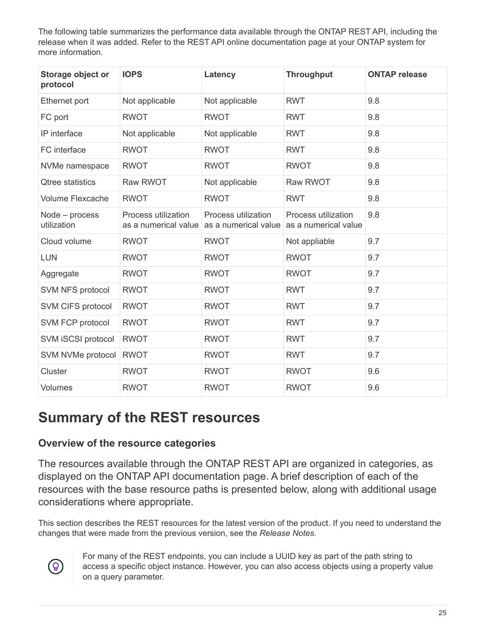The following table summarizes the performance data available through the ONTAP REST API, including the release when it was added. Refer to the REST API online documentation page at your ONTAP system for more information.

| Storage object or<br>protocol | <b>IOPS</b>                                 | Latency                                                          | <b>Throughput</b>   | <b>ONTAP release</b> |
|-------------------------------|---------------------------------------------|------------------------------------------------------------------|---------------------|----------------------|
| Ethernet port                 | Not applicable                              | Not applicable                                                   | <b>RWT</b>          | 9.8                  |
| FC port                       | <b>RWOT</b>                                 | <b>RWOT</b>                                                      | <b>RWT</b>          | 9.8                  |
| IP interface                  | Not applicable                              | Not applicable                                                   | <b>RWT</b>          | 9.8                  |
| FC interface                  | <b>RWOT</b>                                 | <b>RWOT</b>                                                      | <b>RWT</b>          | 9.8                  |
| NVMe namespace                | <b>RWOT</b>                                 | <b>RWOT</b>                                                      | <b>RWOT</b>         | 9.8                  |
| <b>Qtree statistics</b>       | <b>Raw RWOT</b>                             | Not applicable                                                   | <b>Raw RWOT</b>     | 9.8                  |
| <b>Volume Flexcache</b>       | <b>RWOT</b>                                 | <b>RWOT</b>                                                      | <b>RWT</b>          | 9.8                  |
| Node - process<br>utilization | Process utilization<br>as a numerical value | Process utilization<br>as a numerical value as a numerical value | Process utilization | 9.8                  |
| Cloud volume                  | <b>RWOT</b>                                 | <b>RWOT</b>                                                      | Not appliable       | 9.7                  |
| <b>LUN</b>                    | <b>RWOT</b>                                 | <b>RWOT</b>                                                      | <b>RWOT</b>         | 9.7                  |
| Aggregate                     | <b>RWOT</b>                                 | <b>RWOT</b>                                                      | <b>RWOT</b>         | 9.7                  |
| SVM NFS protocol              | <b>RWOT</b>                                 | <b>RWOT</b>                                                      | <b>RWT</b>          | 9.7                  |
| SVM CIFS protocol             | <b>RWOT</b>                                 | <b>RWOT</b>                                                      | <b>RWT</b>          | 9.7                  |
| SVM FCP protocol              | <b>RWOT</b>                                 | <b>RWOT</b>                                                      | <b>RWT</b>          | 9.7                  |
| SVM iSCSI protocol            | <b>RWOT</b>                                 | <b>RWOT</b>                                                      | <b>RWT</b>          | 9.7                  |
| SVM NVMe protocol             | <b>RWOT</b>                                 | <b>RWOT</b>                                                      | <b>RWT</b>          | 9.7                  |
| Cluster                       | <b>RWOT</b>                                 | <b>RWOT</b>                                                      | <b>RWOT</b>         | 9.6                  |
| Volumes                       | <b>RWOT</b>                                 | <b>RWOT</b>                                                      | <b>RWOT</b>         | 9.6                  |

## <span id="page-26-0"></span>**Summary of the REST resources**

## <span id="page-26-1"></span>**Overview of the resource categories**

The resources available through the ONTAP REST API are organized in categories, as displayed on the ONTAP API documentation page. A brief description of each of the resources with the base resource paths is presented below, along with additional usage considerations where appropriate.

This section describes the REST resources for the latest version of the product. If you need to understand the changes that were made from the previous version, see the *Release Notes*.



For many of the REST endpoints, you can include a UUID key as part of the path string to access a specific object instance. However, you can also access objects using a property value on a query parameter.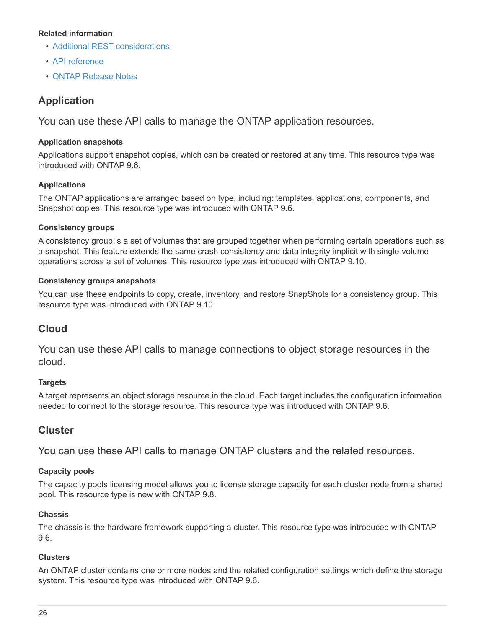### **Related information**

- [Additional REST considerations](#page-22-1)
- [API reference](#page-64-0)
- [ONTAP Release Notes](#page-3-1)

## **Application**

You can use these API calls to manage the ONTAP application resources.

### **Application snapshots**

Applications support snapshot copies, which can be created or restored at any time. This resource type was introduced with ONTAP 9.6.

### **Applications**

The ONTAP applications are arranged based on type, including: templates, applications, components, and Snapshot copies. This resource type was introduced with ONTAP 9.6.

### **Consistency groups**

A consistency group is a set of volumes that are grouped together when performing certain operations such as a snapshot. This feature extends the same crash consistency and data integrity implicit with single-volume operations across a set of volumes. This resource type was introduced with ONTAP 9.10.

### **Consistency groups snapshots**

You can use these endpoints to copy, create, inventory, and restore SnapShots for a consistency group. This resource type was introduced with ONTAP 9.10.

## **Cloud**

You can use these API calls to manage connections to object storage resources in the cloud.

### **Targets**

A target represents an object storage resource in the cloud. Each target includes the configuration information needed to connect to the storage resource. This resource type was introduced with ONTAP 9.6.

## **Cluster**

You can use these API calls to manage ONTAP clusters and the related resources.

### **Capacity pools**

The capacity pools licensing model allows you to license storage capacity for each cluster node from a shared pool. This resource type is new with ONTAP 9.8.

### **Chassis**

The chassis is the hardware framework supporting a cluster. This resource type was introduced with ONTAP 9.6.

### **Clusters**

An ONTAP cluster contains one or more nodes and the related configuration settings which define the storage system. This resource type was introduced with ONTAP 9.6.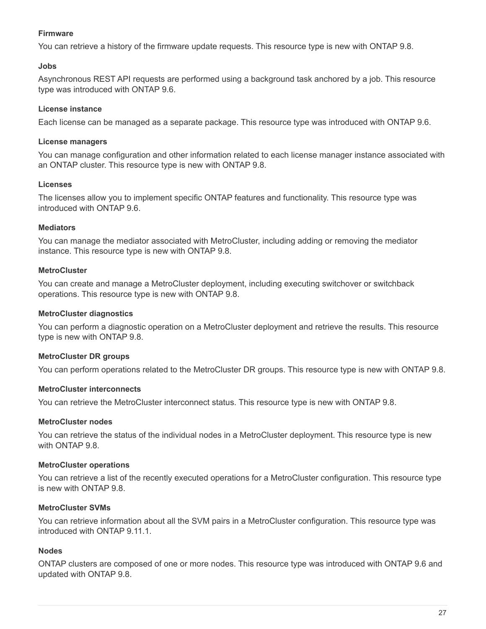### **Firmware**

You can retrieve a history of the firmware update requests. This resource type is new with ONTAP 9.8.

### **Jobs**

Asynchronous REST API requests are performed using a background task anchored by a job. This resource type was introduced with ONTAP 9.6.

### **License instance**

Each license can be managed as a separate package. This resource type was introduced with ONTAP 9.6.

### **License managers**

You can manage configuration and other information related to each license manager instance associated with an ONTAP cluster. This resource type is new with ONTAP 9.8.

### **Licenses**

The licenses allow you to implement specific ONTAP features and functionality. This resource type was introduced with ONTAP 9.6.

### **Mediators**

You can manage the mediator associated with MetroCluster, including adding or removing the mediator instance. This resource type is new with ONTAP 9.8.

### **MetroCluster**

You can create and manage a MetroCluster deployment, including executing switchover or switchback operations. This resource type is new with ONTAP 9.8.

### **MetroCluster diagnostics**

You can perform a diagnostic operation on a MetroCluster deployment and retrieve the results. This resource type is new with ONTAP 9.8.

### **MetroCluster DR groups**

You can perform operations related to the MetroCluster DR groups. This resource type is new with ONTAP 9.8.

### **MetroCluster interconnects**

You can retrieve the MetroCluster interconnect status. This resource type is new with ONTAP 9.8.

### **MetroCluster nodes**

You can retrieve the status of the individual nodes in a MetroCluster deployment. This resource type is new with ONTAP 9.8.

### **MetroCluster operations**

You can retrieve a list of the recently executed operations for a MetroCluster configuration. This resource type is new with ONTAP 9.8.

### **MetroCluster SVMs**

You can retrieve information about all the SVM pairs in a MetroCluster configuration. This resource type was introduced with ONTAP 9.11.1.

### **Nodes**

ONTAP clusters are composed of one or more nodes. This resource type was introduced with ONTAP 9.6 and updated with ONTAP 9.8.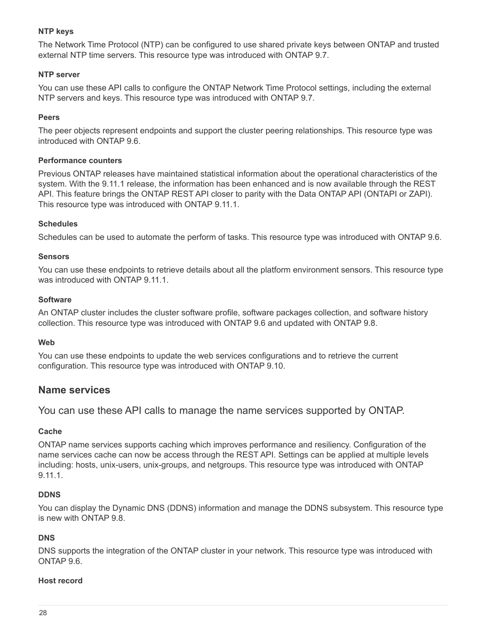### **NTP keys**

The Network Time Protocol (NTP) can be configured to use shared private keys between ONTAP and trusted external NTP time servers. This resource type was introduced with ONTAP 9.7.

### **NTP server**

You can use these API calls to configure the ONTAP Network Time Protocol settings, including the external NTP servers and keys. This resource type was introduced with ONTAP 9.7.

### **Peers**

The peer objects represent endpoints and support the cluster peering relationships. This resource type was introduced with ONTAP 9.6.

### **Performance counters**

Previous ONTAP releases have maintained statistical information about the operational characteristics of the system. With the 9.11.1 release, the information has been enhanced and is now available through the REST API. This feature brings the ONTAP REST API closer to parity with the Data ONTAP API (ONTAPI or ZAPI). This resource type was introduced with ONTAP 9.11.1.

### **Schedules**

Schedules can be used to automate the perform of tasks. This resource type was introduced with ONTAP 9.6.

### **Sensors**

You can use these endpoints to retrieve details about all the platform environment sensors. This resource type was introduced with ONTAP 9.11.1.

### **Software**

An ONTAP cluster includes the cluster software profile, software packages collection, and software history collection. This resource type was introduced with ONTAP 9.6 and updated with ONTAP 9.8.

### **Web**

You can use these endpoints to update the web services configurations and to retrieve the current configuration. This resource type was introduced with ONTAP 9.10.

## **Name services**

You can use these API calls to manage the name services supported by ONTAP.

### **Cache**

ONTAP name services supports caching which improves performance and resiliency. Configuration of the name services cache can now be access through the REST API. Settings can be applied at multiple levels including: hosts, unix-users, unix-groups, and netgroups. This resource type was introduced with ONTAP 9.11.1.

### **DDNS**

You can display the Dynamic DNS (DDNS) information and manage the DDNS subsystem. This resource type is new with ONTAP 9.8.

### **DNS**

DNS supports the integration of the ONTAP cluster in your network. This resource type was introduced with ONTAP 9.6.

### **Host record**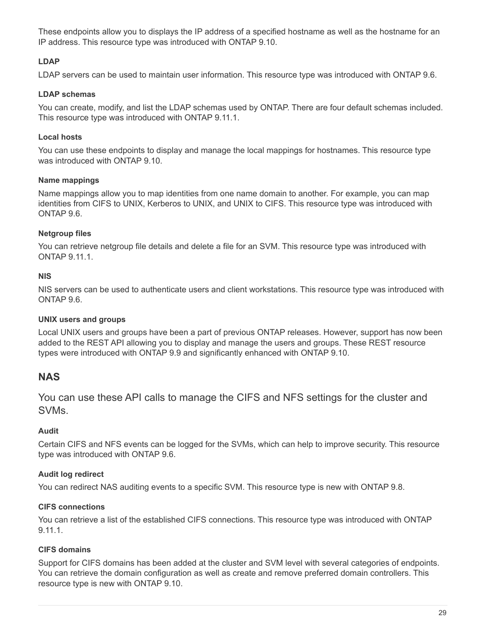These endpoints allow you to displays the IP address of a specified hostname as well as the hostname for an IP address. This resource type was introduced with ONTAP 9.10.

### **LDAP**

LDAP servers can be used to maintain user information. This resource type was introduced with ONTAP 9.6.

### **LDAP schemas**

You can create, modify, and list the LDAP schemas used by ONTAP. There are four default schemas included. This resource type was introduced with ONTAP 9.11.1.

### **Local hosts**

You can use these endpoints to display and manage the local mappings for hostnames. This resource type was introduced with ONTAP 9.10.

### **Name mappings**

Name mappings allow you to map identities from one name domain to another. For example, you can map identities from CIFS to UNIX, Kerberos to UNIX, and UNIX to CIFS. This resource type was introduced with ONTAP 9.6.

### **Netgroup files**

You can retrieve netgroup file details and delete a file for an SVM. This resource type was introduced with ONTAP 9.11.1.

### **NIS**

NIS servers can be used to authenticate users and client workstations. This resource type was introduced with ONTAP 9.6.

### **UNIX users and groups**

Local UNIX users and groups have been a part of previous ONTAP releases. However, support has now been added to the REST API allowing you to display and manage the users and groups. These REST resource types were introduced with ONTAP 9.9 and significantly enhanced with ONTAP 9.10.

## **NAS**

You can use these API calls to manage the CIFS and NFS settings for the cluster and SVMs.

### **Audit**

Certain CIFS and NFS events can be logged for the SVMs, which can help to improve security. This resource type was introduced with ONTAP 9.6.

### **Audit log redirect**

You can redirect NAS auditing events to a specific SVM. This resource type is new with ONTAP 9.8.

### **CIFS connections**

You can retrieve a list of the established CIFS connections. This resource type was introduced with ONTAP 9.11.1.

### **CIFS domains**

Support for CIFS domains has been added at the cluster and SVM level with several categories of endpoints. You can retrieve the domain configuration as well as create and remove preferred domain controllers. This resource type is new with ONTAP 9.10.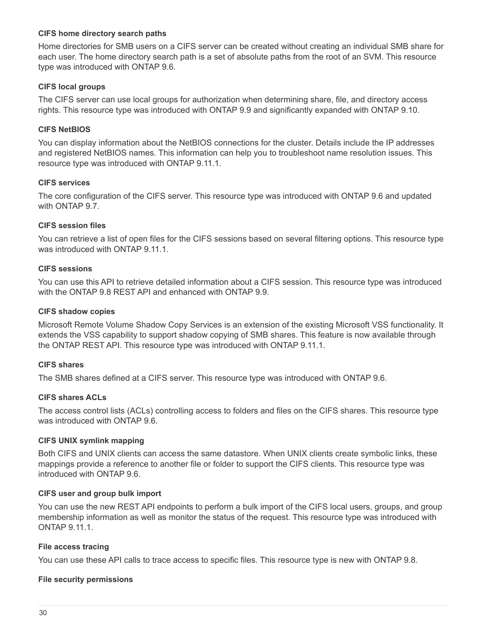### **CIFS home directory search paths**

Home directories for SMB users on a CIFS server can be created without creating an individual SMB share for each user. The home directory search path is a set of absolute paths from the root of an SVM. This resource type was introduced with ONTAP 9.6.

### **CIFS local groups**

The CIFS server can use local groups for authorization when determining share, file, and directory access rights. This resource type was introduced with ONTAP 9.9 and significantly expanded with ONTAP 9.10.

### **CIFS NetBIOS**

You can display information about the NetBIOS connections for the cluster. Details include the IP addresses and registered NetBIOS names. This information can help you to troubleshoot name resolution issues. This resource type was introduced with ONTAP 9.11.1.

### **CIFS services**

The core configuration of the CIFS server. This resource type was introduced with ONTAP 9.6 and updated with ONTAP 9.7.

### **CIFS session files**

You can retrieve a list of open files for the CIFS sessions based on several filtering options. This resource type was introduced with ONTAP 9.11.1.

### **CIFS sessions**

You can use this API to retrieve detailed information about a CIFS session. This resource type was introduced with the ONTAP 9.8 REST API and enhanced with ONTAP 9.9.

### **CIFS shadow copies**

Microsoft Remote Volume Shadow Copy Services is an extension of the existing Microsoft VSS functionality. It extends the VSS capability to support shadow copying of SMB shares. This feature is now available through the ONTAP REST API. This resource type was introduced with ONTAP 9.11.1.

### **CIFS shares**

The SMB shares defined at a CIFS server. This resource type was introduced with ONTAP 9.6.

### **CIFS shares ACLs**

The access control lists (ACLs) controlling access to folders and files on the CIFS shares. This resource type was introduced with ONTAP 9.6.

#### **CIFS UNIX symlink mapping**

Both CIFS and UNIX clients can access the same datastore. When UNIX clients create symbolic links, these mappings provide a reference to another file or folder to support the CIFS clients. This resource type was introduced with ONTAP 9.6.

#### **CIFS user and group bulk import**

You can use the new REST API endpoints to perform a bulk import of the CIFS local users, groups, and group membership information as well as monitor the status of the request. This resource type was introduced with ONTAP 9.11.1.

#### **File access tracing**

You can use these API calls to trace access to specific files. This resource type is new with ONTAP 9.8.

#### **File security permissions**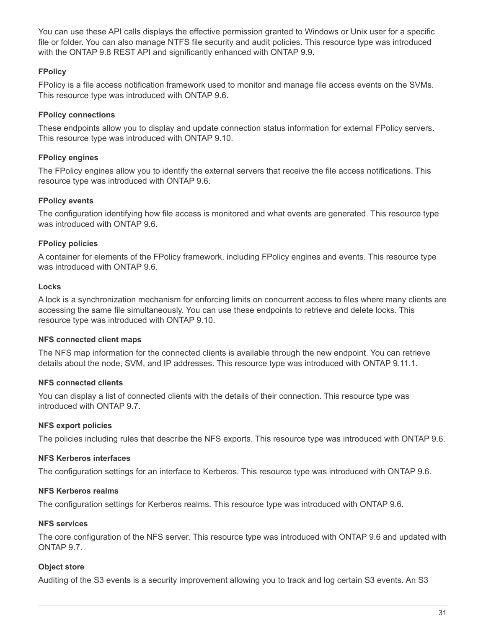You can use these API calls displays the effective permission granted to Windows or Unix user for a specific file or folder. You can also manage NTFS file security and audit policies. This resource type was introduced with the ONTAP 9.8 REST API and significantly enhanced with ONTAP 9.9.

### **FPolicy**

FPolicy is a file access notification framework used to monitor and manage file access events on the SVMs. This resource type was introduced with ONTAP 9.6.

### **FPolicy connections**

These endpoints allow you to display and update connection status information for external FPolicy servers. This resource type was introduced with ONTAP 9.10.

### **FPolicy engines**

The FPolicy engines allow you to identify the external servers that receive the file access notifications. This resource type was introduced with ONTAP 9.6.

### **FPolicy events**

The configuration identifying how file access is monitored and what events are generated. This resource type was introduced with ONTAP 9.6.

### **FPolicy policies**

A container for elements of the FPolicy framework, including FPolicy engines and events. This resource type was introduced with ONTAP 9.6

### **Locks**

A lock is a synchronization mechanism for enforcing limits on concurrent access to files where many clients are accessing the same file simultaneously. You can use these endpoints to retrieve and delete locks. This resource type was introduced with ONTAP 9.10.

### **NFS connected client maps**

The NFS map information for the connected clients is available through the new endpoint. You can retrieve details about the node, SVM, and IP addresses. This resource type was introduced with ONTAP 9.11.1.

### **NFS connected clients**

You can display a list of connected clients with the details of their connection. This resource type was introduced with ONTAP 9.7.

### **NFS export policies**

The policies including rules that describe the NFS exports. This resource type was introduced with ONTAP 9.6.

### **NFS Kerberos interfaces**

The configuration settings for an interface to Kerberos. This resource type was introduced with ONTAP 9.6.

### **NFS Kerberos realms**

The configuration settings for Kerberos realms. This resource type was introduced with ONTAP 9.6.

### **NFS services**

The core configuration of the NFS server. This resource type was introduced with ONTAP 9.6 and updated with ONTAP 9.7.

### **Object store**

Auditing of the S3 events is a security improvement allowing you to track and log certain S3 events. An S3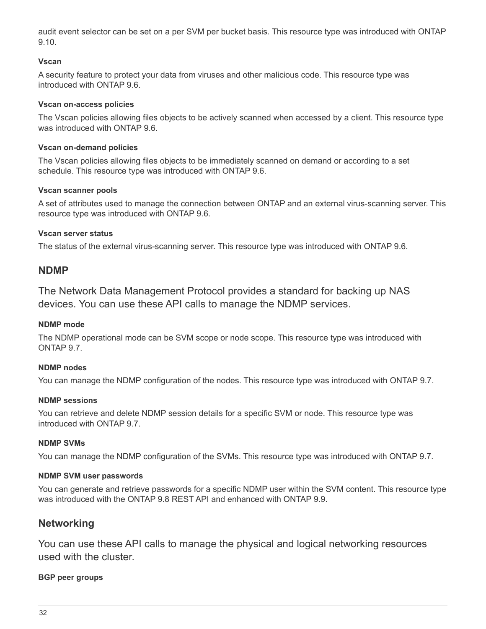audit event selector can be set on a per SVM per bucket basis. This resource type was introduced with ONTAP 9.10.

### **Vscan**

A security feature to protect your data from viruses and other malicious code. This resource type was introduced with ONTAP 9.6.

### **Vscan on-access policies**

The Vscan policies allowing files objects to be actively scanned when accessed by a client. This resource type was introduced with ONTAP 9.6.

### **Vscan on-demand policies**

The Vscan policies allowing files objects to be immediately scanned on demand or according to a set schedule. This resource type was introduced with ONTAP 9.6.

### **Vscan scanner pools**

A set of attributes used to manage the connection between ONTAP and an external virus-scanning server. This resource type was introduced with ONTAP 9.6.

### **Vscan server status**

The status of the external virus-scanning server. This resource type was introduced with ONTAP 9.6.

### **NDMP**

The Network Data Management Protocol provides a standard for backing up NAS devices. You can use these API calls to manage the NDMP services.

### **NDMP mode**

The NDMP operational mode can be SVM scope or node scope. This resource type was introduced with ONTAP 9.7.

### **NDMP nodes**

You can manage the NDMP configuration of the nodes. This resource type was introduced with ONTAP 9.7.

### **NDMP sessions**

You can retrieve and delete NDMP session details for a specific SVM or node. This resource type was introduced with ONTAP 9.7.

### **NDMP SVMs**

You can manage the NDMP configuration of the SVMs. This resource type was introduced with ONTAP 9.7.

### **NDMP SVM user passwords**

You can generate and retrieve passwords for a specific NDMP user within the SVM content. This resource type was introduced with the ONTAP 9.8 REST API and enhanced with ONTAP 9.9.

## **Networking**

You can use these API calls to manage the physical and logical networking resources used with the cluster.

### **BGP peer groups**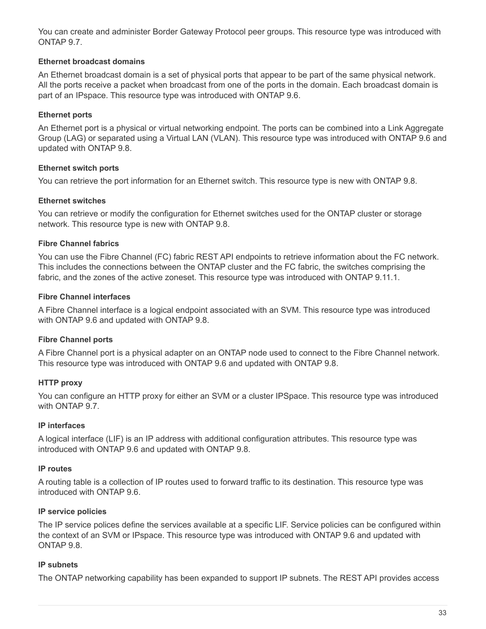You can create and administer Border Gateway Protocol peer groups. This resource type was introduced with ONTAP 9.7.

### **Ethernet broadcast domains**

An Ethernet broadcast domain is a set of physical ports that appear to be part of the same physical network. All the ports receive a packet when broadcast from one of the ports in the domain. Each broadcast domain is part of an IPspace. This resource type was introduced with ONTAP 9.6.

### **Ethernet ports**

An Ethernet port is a physical or virtual networking endpoint. The ports can be combined into a Link Aggregate Group (LAG) or separated using a Virtual LAN (VLAN). This resource type was introduced with ONTAP 9.6 and updated with ONTAP 9.8.

### **Ethernet switch ports**

You can retrieve the port information for an Ethernet switch. This resource type is new with ONTAP 9.8.

### **Ethernet switches**

You can retrieve or modify the configuration for Ethernet switches used for the ONTAP cluster or storage network. This resource type is new with ONTAP 9.8.

### **Fibre Channel fabrics**

You can use the Fibre Channel (FC) fabric REST API endpoints to retrieve information about the FC network. This includes the connections between the ONTAP cluster and the FC fabric, the switches comprising the fabric, and the zones of the active zoneset. This resource type was introduced with ONTAP 9.11.1.

### **Fibre Channel interfaces**

A Fibre Channel interface is a logical endpoint associated with an SVM. This resource type was introduced with ONTAP 9.6 and updated with ONTAP 9.8.

### **Fibre Channel ports**

A Fibre Channel port is a physical adapter on an ONTAP node used to connect to the Fibre Channel network. This resource type was introduced with ONTAP 9.6 and updated with ONTAP 9.8.

### **HTTP proxy**

You can configure an HTTP proxy for either an SVM or a cluster IPSpace. This resource type was introduced with ONTAP 9.7.

### **IP interfaces**

A logical interface (LIF) is an IP address with additional configuration attributes. This resource type was introduced with ONTAP 9.6 and updated with ONTAP 9.8.

### **IP routes**

A routing table is a collection of IP routes used to forward traffic to its destination. This resource type was introduced with ONTAP 9.6.

### **IP service policies**

The IP service polices define the services available at a specific LIF. Service policies can be configured within the context of an SVM or IPspace. This resource type was introduced with ONTAP 9.6 and updated with ONTAP 9.8.

### **IP subnets**

The ONTAP networking capability has been expanded to support IP subnets. The REST API provides access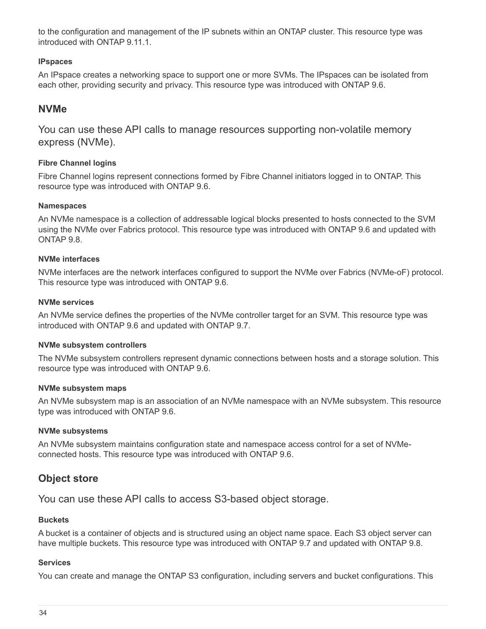to the configuration and management of the IP subnets within an ONTAP cluster. This resource type was introduced with ONTAP 9.11.1.

### **IPspaces**

An IPspace creates a networking space to support one or more SVMs. The IPspaces can be isolated from each other, providing security and privacy. This resource type was introduced with ONTAP 9.6.

### **NVMe**

You can use these API calls to manage resources supporting non-volatile memory express (NVMe).

### **Fibre Channel logins**

Fibre Channel logins represent connections formed by Fibre Channel initiators logged in to ONTAP. This resource type was introduced with ONTAP 9.6.

### **Namespaces**

An NVMe namespace is a collection of addressable logical blocks presented to hosts connected to the SVM using the NVMe over Fabrics protocol. This resource type was introduced with ONTAP 9.6 and updated with ONTAP 9.8.

### **NVMe interfaces**

NVMe interfaces are the network interfaces configured to support the NVMe over Fabrics (NVMe-oF) protocol. This resource type was introduced with ONTAP 9.6.

### **NVMe services**

An NVMe service defines the properties of the NVMe controller target for an SVM. This resource type was introduced with ONTAP 9.6 and updated with ONTAP 9.7.

### **NVMe subsystem controllers**

The NVMe subsystem controllers represent dynamic connections between hosts and a storage solution. This resource type was introduced with ONTAP 9.6.

### **NVMe subsystem maps**

An NVMe subsystem map is an association of an NVMe namespace with an NVMe subsystem. This resource type was introduced with ONTAP 9.6.

### **NVMe subsystems**

An NVMe subsystem maintains configuration state and namespace access control for a set of NVMeconnected hosts. This resource type was introduced with ONTAP 9.6.

## **Object store**

You can use these API calls to access S3-based object storage.

### **Buckets**

A bucket is a container of objects and is structured using an object name space. Each S3 object server can have multiple buckets. This resource type was introduced with ONTAP 9.7 and updated with ONTAP 9.8.

### **Services**

You can create and manage the ONTAP S3 configuration, including servers and bucket configurations. This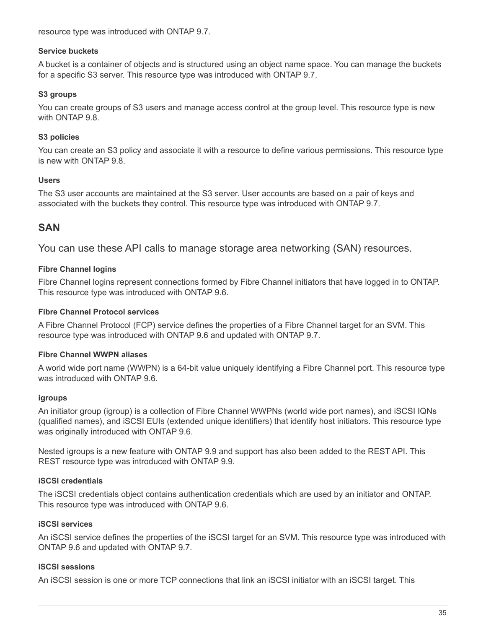resource type was introduced with ONTAP 9.7.

#### **Service buckets**

A bucket is a container of objects and is structured using an object name space. You can manage the buckets for a specific S3 server. This resource type was introduced with ONTAP 9.7.

#### **S3 groups**

You can create groups of S3 users and manage access control at the group level. This resource type is new with ONTAP 9.8

#### **S3 policies**

You can create an S3 policy and associate it with a resource to define various permissions. This resource type is new with ONTAP 9.8.

#### **Users**

The S3 user accounts are maintained at the S3 server. User accounts are based on a pair of keys and associated with the buckets they control. This resource type was introduced with ONTAP 9.7.

## **SAN**

You can use these API calls to manage storage area networking (SAN) resources.

#### **Fibre Channel logins**

Fibre Channel logins represent connections formed by Fibre Channel initiators that have logged in to ONTAP. This resource type was introduced with ONTAP 9.6.

#### **Fibre Channel Protocol services**

A Fibre Channel Protocol (FCP) service defines the properties of a Fibre Channel target for an SVM. This resource type was introduced with ONTAP 9.6 and updated with ONTAP 9.7.

#### **Fibre Channel WWPN aliases**

A world wide port name (WWPN) is a 64-bit value uniquely identifying a Fibre Channel port. This resource type was introduced with ONTAP 9.6.

#### **igroups**

An initiator group (igroup) is a collection of Fibre Channel WWPNs (world wide port names), and iSCSI IQNs (qualified names), and iSCSI EUIs (extended unique identifiers) that identify host initiators. This resource type was originally introduced with ONTAP 9.6.

Nested igroups is a new feature with ONTAP 9.9 and support has also been added to the REST API. This REST resource type was introduced with ONTAP 9.9.

#### **iSCSI credentials**

The iSCSI credentials object contains authentication credentials which are used by an initiator and ONTAP. This resource type was introduced with ONTAP 9.6.

#### **iSCSI services**

An iSCSI service defines the properties of the iSCSI target for an SVM. This resource type was introduced with ONTAP 9.6 and updated with ONTAP 9.7.

#### **iSCSI sessions**

An iSCSI session is one or more TCP connections that link an iSCSI initiator with an iSCSI target. This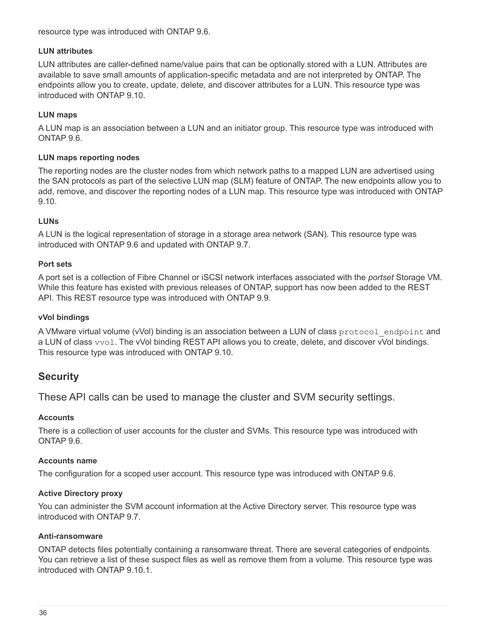resource type was introduced with ONTAP 9.6.

#### **LUN attributes**

LUN attributes are caller-defined name/value pairs that can be optionally stored with a LUN. Attributes are available to save small amounts of application-specific metadata and are not interpreted by ONTAP. The endpoints allow you to create, update, delete, and discover attributes for a LUN. This resource type was introduced with ONTAP 9.10.

#### **LUN maps**

A LUN map is an association between a LUN and an initiator group. This resource type was introduced with ONTAP 9.6.

#### **LUN maps reporting nodes**

The reporting nodes are the cluster nodes from which network paths to a mapped LUN are advertised using the SAN protocols as part of the selective LUN map (SLM) feature of ONTAP. The new endpoints allow you to add, remove, and discover the reporting nodes of a LUN map. This resource type was introduced with ONTAP 9.10.

#### **LUNs**

A LUN is the logical representation of storage in a storage area network (SAN). This resource type was introduced with ONTAP 9.6 and updated with ONTAP 9.7.

#### **Port sets**

A port set is a collection of Fibre Channel or iSCSI network interfaces associated with the *portset* Storage VM. While this feature has existed with previous releases of ONTAP, support has now been added to the REST API. This REST resource type was introduced with ONTAP 9.9.

#### **vVol bindings**

A VMware virtual volume (vVol) binding is an association between a LUN of class protocol endpoint and a LUN of class vvol. The vVol binding REST API allows you to create, delete, and discover vVol bindings. This resource type was introduced with ONTAP 9.10.

## **Security**

These API calls can be used to manage the cluster and SVM security settings.

#### **Accounts**

There is a collection of user accounts for the cluster and SVMs. This resource type was introduced with ONTAP 9.6.

#### **Accounts name**

The configuration for a scoped user account. This resource type was introduced with ONTAP 9.6.

#### **Active Directory proxy**

You can administer the SVM account information at the Active Directory server. This resource type was introduced with ONTAP 9.7.

#### **Anti-ransomware**

ONTAP detects files potentially containing a ransomware threat. There are several categories of endpoints. You can retrieve a list of these suspect files as well as remove them from a volume. This resource type was introduced with ONTAP 9.10.1.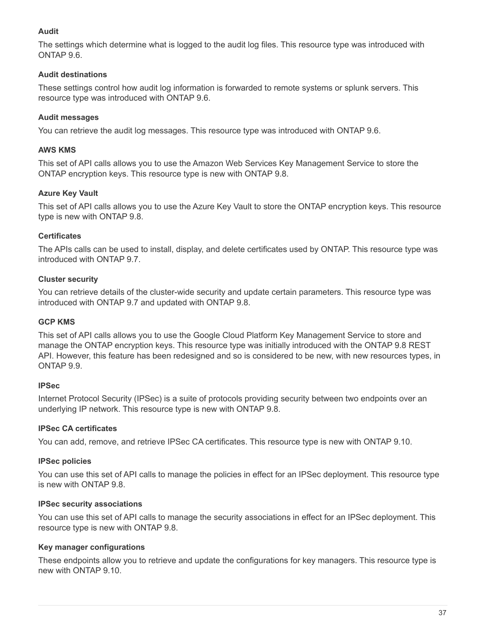#### **Audit**

The settings which determine what is logged to the audit log files. This resource type was introduced with ONTAP 9.6.

#### **Audit destinations**

These settings control how audit log information is forwarded to remote systems or splunk servers. This resource type was introduced with ONTAP 9.6.

#### **Audit messages**

You can retrieve the audit log messages. This resource type was introduced with ONTAP 9.6.

#### **AWS KMS**

This set of API calls allows you to use the Amazon Web Services Key Management Service to store the ONTAP encryption keys. This resource type is new with ONTAP 9.8.

#### **Azure Key Vault**

This set of API calls allows you to use the Azure Key Vault to store the ONTAP encryption keys. This resource type is new with ONTAP 9.8.

#### **Certificates**

The APIs calls can be used to install, display, and delete certificates used by ONTAP. This resource type was introduced with ONTAP 9.7.

#### **Cluster security**

You can retrieve details of the cluster-wide security and update certain parameters. This resource type was introduced with ONTAP 9.7 and updated with ONTAP 9.8.

#### **GCP KMS**

This set of API calls allows you to use the Google Cloud Platform Key Management Service to store and manage the ONTAP encryption keys. This resource type was initially introduced with the ONTAP 9.8 REST API. However, this feature has been redesigned and so is considered to be new, with new resources types, in ONTAP 9.9.

#### **IPSec**

Internet Protocol Security (IPSec) is a suite of protocols providing security between two endpoints over an underlying IP network. This resource type is new with ONTAP 9.8.

#### **IPSec CA certificates**

You can add, remove, and retrieve IPSec CA certificates. This resource type is new with ONTAP 9.10.

#### **IPSec policies**

You can use this set of API calls to manage the policies in effect for an IPSec deployment. This resource type is new with ONTAP 9.8.

#### **IPSec security associations**

You can use this set of API calls to manage the security associations in effect for an IPSec deployment. This resource type is new with ONTAP 9.8.

#### **Key manager configurations**

These endpoints allow you to retrieve and update the configurations for key managers. This resource type is new with ONTAP 9.10.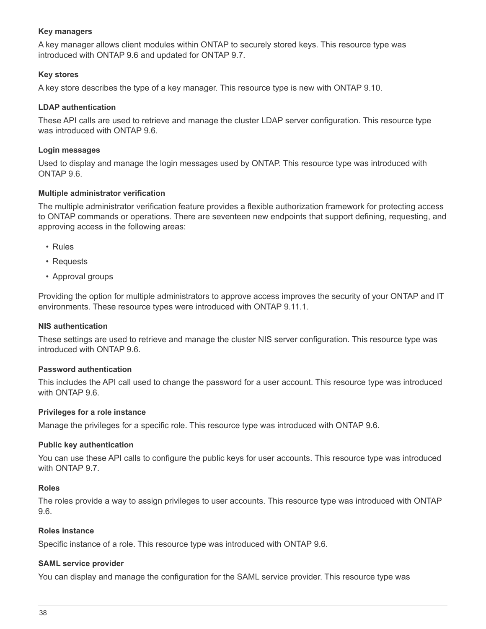#### **Key managers**

A key manager allows client modules within ONTAP to securely stored keys. This resource type was introduced with ONTAP 9.6 and updated for ONTAP 9.7.

#### **Key stores**

A key store describes the type of a key manager. This resource type is new with ONTAP 9.10.

#### **LDAP authentication**

These API calls are used to retrieve and manage the cluster LDAP server configuration. This resource type was introduced with ONTAP 9.6

#### **Login messages**

Used to display and manage the login messages used by ONTAP. This resource type was introduced with ONTAP 9.6.

#### **Multiple administrator verification**

The multiple administrator verification feature provides a flexible authorization framework for protecting access to ONTAP commands or operations. There are seventeen new endpoints that support defining, requesting, and approving access in the following areas:

- Rules
- Requests
- Approval groups

Providing the option for multiple administrators to approve access improves the security of your ONTAP and IT environments. These resource types were introduced with ONTAP 9.11.1.

#### **NIS authentication**

These settings are used to retrieve and manage the cluster NIS server configuration. This resource type was introduced with ONTAP 9.6.

#### **Password authentication**

This includes the API call used to change the password for a user account. This resource type was introduced with ONTAP 9.6.

#### **Privileges for a role instance**

Manage the privileges for a specific role. This resource type was introduced with ONTAP 9.6.

#### **Public key authentication**

You can use these API calls to configure the public keys for user accounts. This resource type was introduced with ONTAP 9.7.

#### **Roles**

The roles provide a way to assign privileges to user accounts. This resource type was introduced with ONTAP 9.6.

#### **Roles instance**

Specific instance of a role. This resource type was introduced with ONTAP 9.6.

#### **SAML service provider**

You can display and manage the configuration for the SAML service provider. This resource type was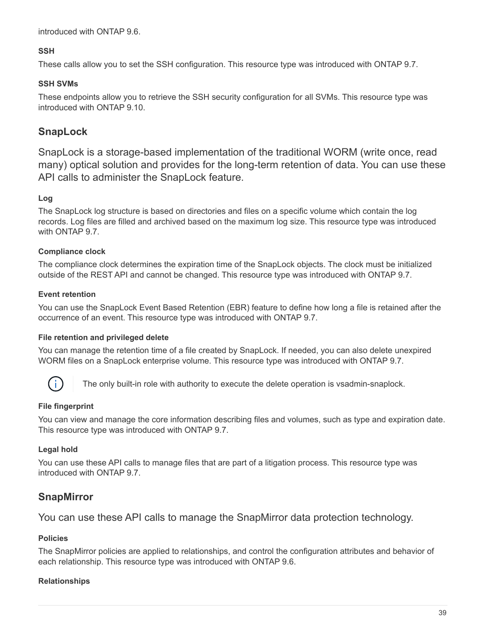introduced with ONTAP 9.6.

#### **SSH**

These calls allow you to set the SSH configuration. This resource type was introduced with ONTAP 9.7.

#### **SSH SVMs**

These endpoints allow you to retrieve the SSH security configuration for all SVMs. This resource type was introduced with ONTAP 9.10.

# **SnapLock**

SnapLock is a storage-based implementation of the traditional WORM (write once, read many) optical solution and provides for the long-term retention of data. You can use these API calls to administer the SnapLock feature.

### **Log**

The SnapLock log structure is based on directories and files on a specific volume which contain the log records. Log files are filled and archived based on the maximum log size. This resource type was introduced with ONTAP 9.7.

### **Compliance clock**

The compliance clock determines the expiration time of the SnapLock objects. The clock must be initialized outside of the REST API and cannot be changed. This resource type was introduced with ONTAP 9.7.

#### **Event retention**

You can use the SnapLock Event Based Retention (EBR) feature to define how long a file is retained after the occurrence of an event. This resource type was introduced with ONTAP 9.7.

#### **File retention and privileged delete**

You can manage the retention time of a file created by SnapLock. If needed, you can also delete unexpired WORM files on a SnapLock enterprise volume. This resource type was introduced with ONTAP 9.7.



The only built-in role with authority to execute the delete operation is vsadmin-snaplock.

#### **File fingerprint**

You can view and manage the core information describing files and volumes, such as type and expiration date. This resource type was introduced with ONTAP 9.7.

### **Legal hold**

You can use these API calls to manage files that are part of a litigation process. This resource type was introduced with ONTAP 9.7.

## **SnapMirror**

You can use these API calls to manage the SnapMirror data protection technology.

#### **Policies**

The SnapMirror policies are applied to relationships, and control the configuration attributes and behavior of each relationship. This resource type was introduced with ONTAP 9.6.

#### **Relationships**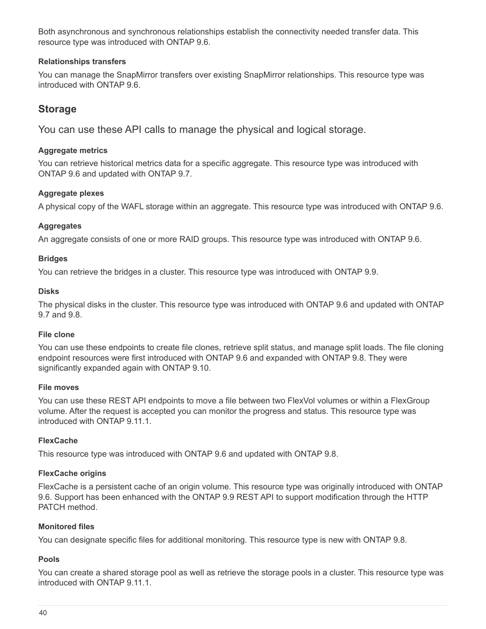Both asynchronous and synchronous relationships establish the connectivity needed transfer data. This resource type was introduced with ONTAP 9.6.

#### **Relationships transfers**

You can manage the SnapMirror transfers over existing SnapMirror relationships. This resource type was introduced with ONTAP 9.6.

## **Storage**

You can use these API calls to manage the physical and logical storage.

#### **Aggregate metrics**

You can retrieve historical metrics data for a specific aggregate. This resource type was introduced with ONTAP 9.6 and updated with ONTAP 9.7.

#### **Aggregate plexes**

A physical copy of the WAFL storage within an aggregate. This resource type was introduced with ONTAP 9.6.

### **Aggregates**

An aggregate consists of one or more RAID groups. This resource type was introduced with ONTAP 9.6.

#### **Bridges**

You can retrieve the bridges in a cluster. This resource type was introduced with ONTAP 9.9.

#### **Disks**

The physical disks in the cluster. This resource type was introduced with ONTAP 9.6 and updated with ONTAP 9.7 and 9.8.

#### **File clone**

You can use these endpoints to create file clones, retrieve split status, and manage split loads. The file cloning endpoint resources were first introduced with ONTAP 9.6 and expanded with ONTAP 9.8. They were significantly expanded again with ONTAP 9.10.

### **File moves**

You can use these REST API endpoints to move a file between two FlexVol volumes or within a FlexGroup volume. After the request is accepted you can monitor the progress and status. This resource type was introduced with ONTAP 9.11.1.

### **FlexCache**

This resource type was introduced with ONTAP 9.6 and updated with ONTAP 9.8.

### **FlexCache origins**

FlexCache is a persistent cache of an origin volume. This resource type was originally introduced with ONTAP 9.6. Support has been enhanced with the ONTAP 9.9 REST API to support modification through the HTTP PATCH method.

#### **Monitored files**

You can designate specific files for additional monitoring. This resource type is new with ONTAP 9.8.

### **Pools**

You can create a shared storage pool as well as retrieve the storage pools in a cluster. This resource type was introduced with ONTAP 9.11.1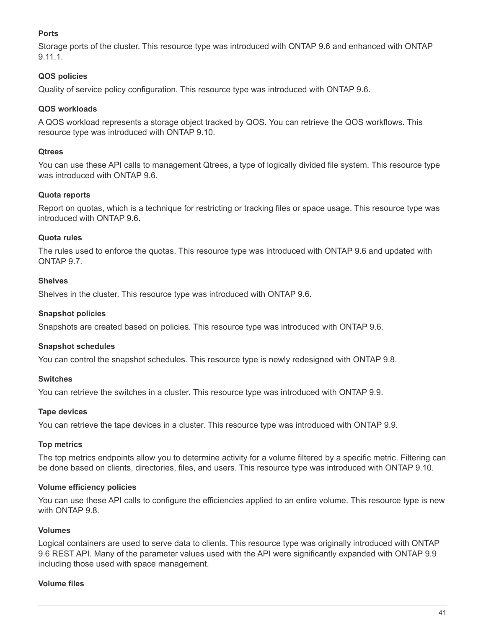#### **Ports**

Storage ports of the cluster. This resource type was introduced with ONTAP 9.6 and enhanced with ONTAP 9.11.1.

#### **QOS policies**

Quality of service policy configuration. This resource type was introduced with ONTAP 9.6.

#### **QOS workloads**

A QOS workload represents a storage object tracked by QOS. You can retrieve the QOS workflows. This resource type was introduced with ONTAP 9.10.

#### **Qtrees**

You can use these API calls to management Qtrees, a type of logically divided file system. This resource type was introduced with ONTAP 9.6.

#### **Quota reports**

Report on quotas, which is a technique for restricting or tracking files or space usage. This resource type was introduced with ONTAP 9.6.

#### **Quota rules**

The rules used to enforce the quotas. This resource type was introduced with ONTAP 9.6 and updated with ONTAP 9.7.

#### **Shelves**

Shelves in the cluster. This resource type was introduced with ONTAP 9.6.

#### **Snapshot policies**

Snapshots are created based on policies. This resource type was introduced with ONTAP 9.6.

#### **Snapshot schedules**

You can control the snapshot schedules. This resource type is newly redesigned with ONTAP 9.8.

#### **Switches**

You can retrieve the switches in a cluster. This resource type was introduced with ONTAP 9.9.

#### **Tape devices**

You can retrieve the tape devices in a cluster. This resource type was introduced with ONTAP 9.9.

#### **Top metrics**

The top metrics endpoints allow you to determine activity for a volume filtered by a specific metric. Filtering can be done based on clients, directories, files, and users. This resource type was introduced with ONTAP 9.10.

#### **Volume efficiency policies**

You can use these API calls to configure the efficiencies applied to an entire volume. This resource type is new with ONTAP 9.8

#### **Volumes**

Logical containers are used to serve data to clients. This resource type was originally introduced with ONTAP 9.6 REST API. Many of the parameter values used with the API were significantly expanded with ONTAP 9.9 including those used with space management.

#### **Volume files**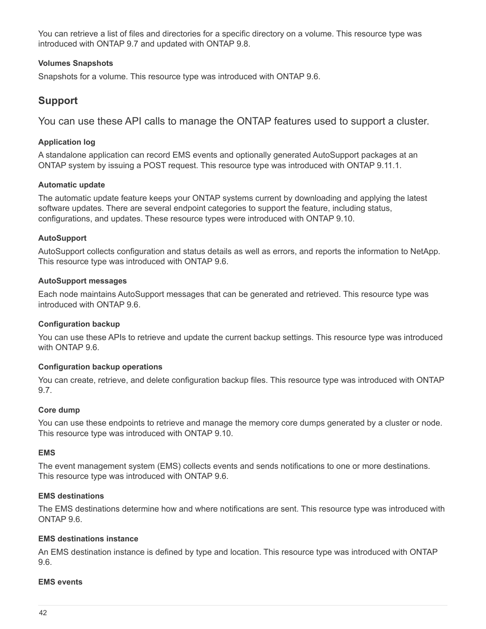You can retrieve a list of files and directories for a specific directory on a volume. This resource type was introduced with ONTAP 9.7 and updated with ONTAP 9.8.

#### **Volumes Snapshots**

Snapshots for a volume. This resource type was introduced with ONTAP 9.6.

## **Support**

You can use these API calls to manage the ONTAP features used to support a cluster.

#### **Application log**

A standalone application can record EMS events and optionally generated AutoSupport packages at an ONTAP system by issuing a POST request. This resource type was introduced with ONTAP 9.11.1.

#### **Automatic update**

The automatic update feature keeps your ONTAP systems current by downloading and applying the latest software updates. There are several endpoint categories to support the feature, including status, configurations, and updates. These resource types were introduced with ONTAP 9.10.

#### **AutoSupport**

AutoSupport collects configuration and status details as well as errors, and reports the information to NetApp. This resource type was introduced with ONTAP 9.6.

#### **AutoSupport messages**

Each node maintains AutoSupport messages that can be generated and retrieved. This resource type was introduced with ONTAP 9.6.

#### **Configuration backup**

You can use these APIs to retrieve and update the current backup settings. This resource type was introduced with ONTAP 9.6.

#### **Configuration backup operations**

You can create, retrieve, and delete configuration backup files. This resource type was introduced with ONTAP 9.7.

#### **Core dump**

You can use these endpoints to retrieve and manage the memory core dumps generated by a cluster or node. This resource type was introduced with ONTAP 9.10.

#### **EMS**

The event management system (EMS) collects events and sends notifications to one or more destinations. This resource type was introduced with ONTAP 9.6.

#### **EMS destinations**

The EMS destinations determine how and where notifications are sent. This resource type was introduced with ONTAP 9.6.

#### **EMS destinations instance**

An EMS destination instance is defined by type and location. This resource type was introduced with ONTAP 9.6.

#### **EMS events**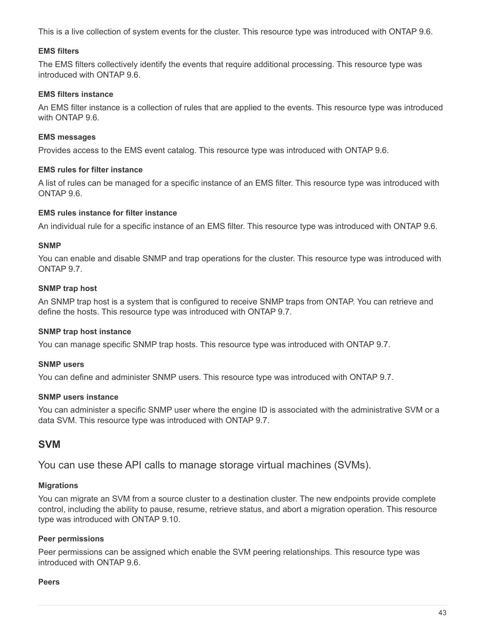This is a live collection of system events for the cluster. This resource type was introduced with ONTAP 9.6.

#### **EMS filters**

The EMS filters collectively identify the events that require additional processing. This resource type was introduced with ONTAP 9.6.

#### **EMS filters instance**

An EMS filter instance is a collection of rules that are applied to the events. This resource type was introduced with ONTAP 9.6.

#### **EMS messages**

Provides access to the EMS event catalog. This resource type was introduced with ONTAP 9.6.

#### **EMS rules for filter instance**

A list of rules can be managed for a specific instance of an EMS filter. This resource type was introduced with ONTAP 9.6.

#### **EMS rules instance for filter instance**

An individual rule for a specific instance of an EMS filter. This resource type was introduced with ONTAP 9.6.

#### **SNMP**

You can enable and disable SNMP and trap operations for the cluster. This resource type was introduced with ONTAP 9.7.

#### **SNMP trap host**

An SNMP trap host is a system that is configured to receive SNMP traps from ONTAP. You can retrieve and define the hosts. This resource type was introduced with ONTAP 9.7.

#### **SNMP trap host instance**

You can manage specific SNMP trap hosts. This resource type was introduced with ONTAP 9.7.

#### **SNMP users**

You can define and administer SNMP users. This resource type was introduced with ONTAP 9.7.

#### **SNMP users instance**

You can administer a specific SNMP user where the engine ID is associated with the administrative SVM or a data SVM. This resource type was introduced with ONTAP 9.7.

## **SVM**

You can use these API calls to manage storage virtual machines (SVMs).

#### **Migrations**

You can migrate an SVM from a source cluster to a destination cluster. The new endpoints provide complete control, including the ability to pause, resume, retrieve status, and abort a migration operation. This resource type was introduced with ONTAP 9.10.

#### **Peer permissions**

Peer permissions can be assigned which enable the SVM peering relationships. This resource type was introduced with ONTAP 9.6.

#### **Peers**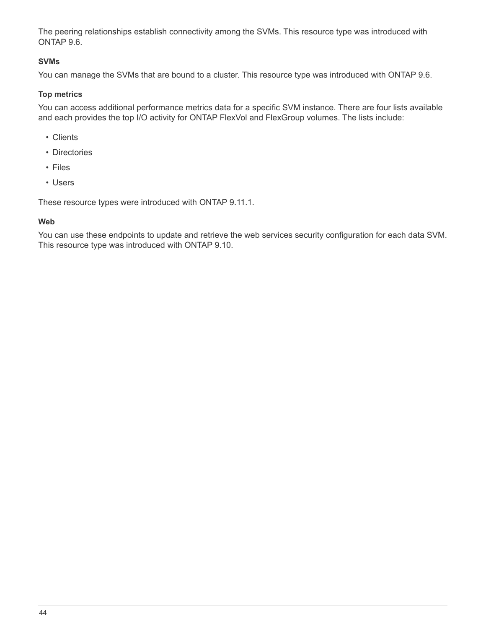The peering relationships establish connectivity among the SVMs. This resource type was introduced with ONTAP 9.6.

#### **SVMs**

You can manage the SVMs that are bound to a cluster. This resource type was introduced with ONTAP 9.6.

#### **Top metrics**

You can access additional performance metrics data for a specific SVM instance. There are four lists available and each provides the top I/O activity for ONTAP FlexVol and FlexGroup volumes. The lists include:

- Clients
- Directories
- Files
- Users

These resource types were introduced with ONTAP 9.11.1.

#### **Web**

You can use these endpoints to update and retrieve the web services security configuration for each data SVM. This resource type was introduced with ONTAP 9.10.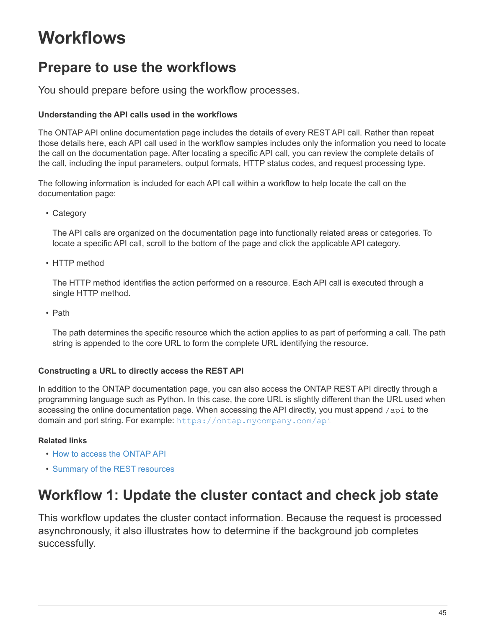# **Workflows**

# **Prepare to use the workflows**

You should prepare before using the workflow processes.

#### **Understanding the API calls used in the workflows**

The ONTAP API online documentation page includes the details of every REST API call. Rather than repeat those details here, each API call used in the workflow samples includes only the information you need to locate the call on the documentation page. After locating a specific API call, you can review the complete details of the call, including the input parameters, output formats, HTTP status codes, and request processing type.

The following information is included for each API call within a workflow to help locate the call on the documentation page:

• Category

The API calls are organized on the documentation page into functionally related areas or categories. To locate a specific API call, scroll to the bottom of the page and click the applicable API category.

• HTTP method

The HTTP method identifies the action performed on a resource. Each API call is executed through a single HTTP method.

• Path

The path determines the specific resource which the action applies to as part of performing a call. The path string is appended to the core URL to form the complete URL identifying the resource.

### **Constructing a URL to directly access the REST API**

In addition to the ONTAP documentation page, you can also access the ONTAP REST API directly through a programming language such as Python. In this case, the core URL is slightly different than the URL used when accessing the online documentation page. When accessing the API directly, you must append /api to the domain and port string. For example: <https://ontap.mycompany.com/api>

### **Related links**

- [How to access the ONTAP API](#page-12-0)
- [Summary of the REST resources](#page-26-0)

# **Workflow 1: Update the cluster contact and check job state**

This workflow updates the cluster contact information. Because the request is processed asynchronously, it also illustrates how to determine if the background job completes successfully.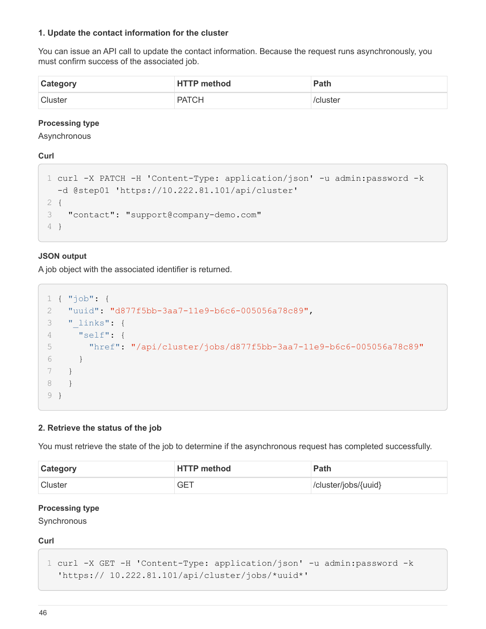#### **1. Update the contact information for the cluster**

You can issue an API call to update the contact information. Because the request runs asynchronously, you must confirm success of the associated job.

| <b>Category</b> | <b>HTTP method</b> | Path     |
|-----------------|--------------------|----------|
| <b>Cluster</b>  | <b>PATCH</b>       | /cluster |

#### **Processing type**

Asynchronous

**Curl**

```
1 curl -X PATCH -H 'Content-Type: application/json' -u admin:password -k
   -d @step01 'https://10.222.81.101/api/cluster'
2 {
3 "contact": "support@company-demo.com"
4 }
```
#### **JSON output**

A job object with the associated identifier is returned.

```
1 { "job": {
2 "uuid": "d877f5bb-3aa7-11e9-b6c6-005056a78c89",
3 "_links": {
4 "self": {
5 "href": "/api/cluster/jobs/d877f5bb-3aa7-11e9-b6c6-005056a78c89"
6 }
7 }
8 }
9 }
```
#### **2. Retrieve the status of the job**

You must retrieve the state of the job to determine if the asynchronous request has completed successfully.

| Category       | <b>HTTP method</b> | <b>Path</b>          |
|----------------|--------------------|----------------------|
| <b>Cluster</b> | GET                | /cluster/jobs/{uuid} |

#### **Processing type**

**Synchronous** 

#### **Curl**

```
1 curl -X GET -H 'Content-Type: application/json' -u admin:password -k
    'https:// 10.222.81.101/api/cluster/jobs/*uuid*'
```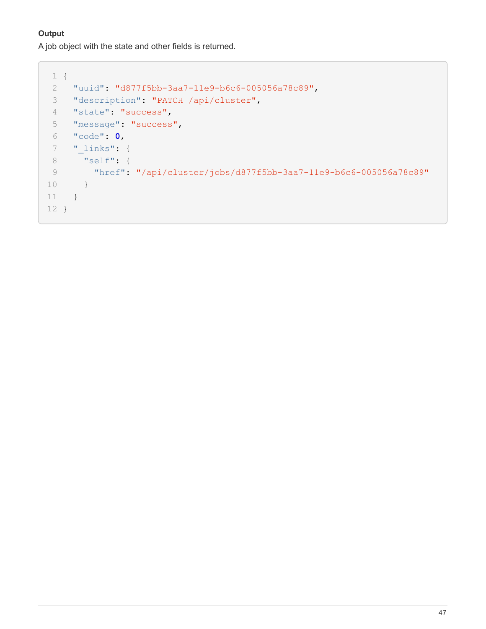### **Output**

A job object with the state and other fields is returned.

```
 1 {
 2 "uuid": "d877f5bb-3aa7-11e9-b6c6-005056a78c89",
 3 "description": "PATCH /api/cluster",
 4 "state": "success",
 5 "message": "success",
 6 "code": 0,
 7 "_links": {
 8 "self": {
 9 "href": "/api/cluster/jobs/d877f5bb-3aa7-11e9-b6c6-005056a78c89"
10 }
11 }
12 }
```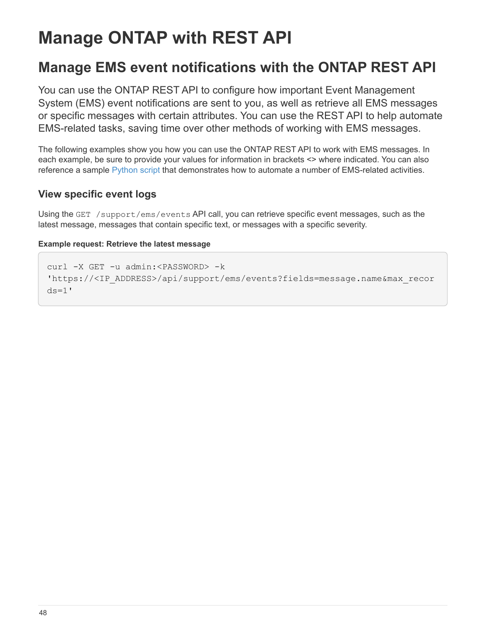# **Manage ONTAP with REST API**

# **Manage EMS event notifications with the ONTAP REST API**

You can use the ONTAP REST API to configure how important Event Management System (EMS) event notifications are sent to you, as well as retrieve all EMS messages or specific messages with certain attributes. You can use the REST API to help automate EMS-related tasks, saving time over other methods of working with EMS messages.

The following examples show you how you can use the ONTAP REST API to work with EMS messages. In each example, be sure to provide your values for information in brackets <> where indicated. You can also reference a sample [Python script](https://github.com/NetApp/ontap-rest-python/blob/master/examples/rest_api/events.py) that demonstrates how to automate a number of EMS-related activities.

## **View specific event logs**

Using the GET /support/ems/events API call, you can retrieve specific event messages, such as the latest message, messages that contain specific text, or messages with a specific severity.

#### **Example request: Retrieve the latest message**

```
curl -X GET -u admin:<PASSWORD> -k
'https://<IP_ADDRESS>/api/support/ems/events?fields=message.name&max_recor
ds = 1'
```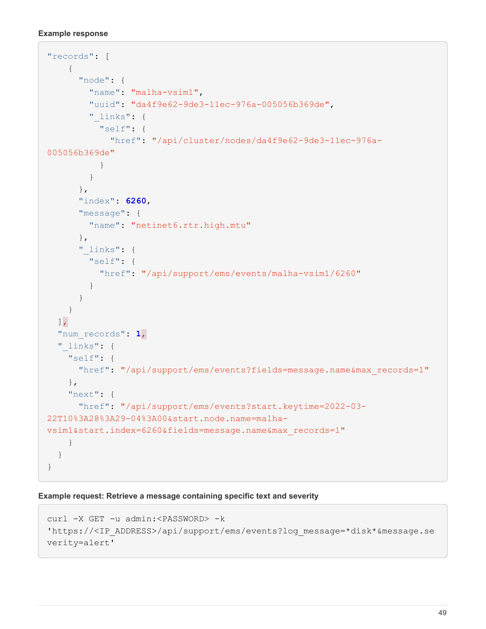```
Example response
```

```
"records": [
      {
        "node": {
         "name": "malha-vsim1",
           "uuid": "da4f9e62-9de3-11ec-976a-005056b369de",
         " links": {
            "self": {
               "href": "/api/cluster/nodes/da4f9e62-9de3-11ec-976a-
005056b369de"
  }
  }
        },
        "index": 6260,
        "message": {
          "name": "netinet6.rtr.high.mtu"
        },
      " links": {
          "self": {
             "href": "/api/support/ems/events/malha-vsim1/6260"
           }
        }
      }
  \frac{1}{2}  "num_records": 1,
  " links": {
      "self": {
        "href": "/api/support/ems/events?fields=message.name&max_records=1"
      },
      "next": {
        "href": "/api/support/ems/events?start.keytime=2022-03-
22T10%3A28%3A29-04%3A00&start.node.name=malha-
vsim1&start.index=6260&fields=message.name&max_records=1"
      }
   }
}
```
**Example request: Retrieve a message containing specific text and severity**

```
curl -X GET -u admin:<PASSWORD> -k
'https://<IP_ADDRESS>/api/support/ems/events?log_message=*disk*&message.se
verity=alert'
```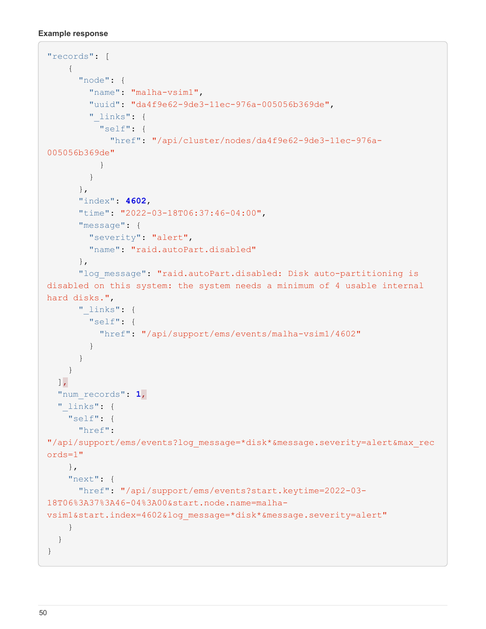#### **Example response**

```
"records": [
      {
        "node": {
        "name": "malha-vsim1",
          "uuid": "da4f9e62-9de3-11ec-976a-005056b369de",
        " links": {
            "self": {
               "href": "/api/cluster/nodes/da4f9e62-9de3-11ec-976a-
005056b369de"
  }
  }
        },
        "index": 4602,
        "time": "2022-03-18T06:37:46-04:00",
        "message": {
          "severity": "alert",
          "name": "raid.autoPart.disabled"
        },
      "log message": "raid.autoPart.disabled: Disk auto-partitioning is
disabled on this system: the system needs a minimum of 4 usable internal
hard disks.",
        "_links": {
          "self": {
            "href": "/api/support/ems/events/malha-vsim1/4602"
  }
        }
      }
  \frac{1}{2}  "num_records": 1,
    "_links": {
     "self": {
        "href":
"/api/support/ems/events?log_message=*disk*&message.severity=alert&max_rec
ords=1"
      },
      "next": {
        "href": "/api/support/ems/events?start.keytime=2022-03-
18T06%3A37%3A46-04%3A00&start.node.name=malha-
vsim1&start.index=4602&log_message=*disk*&message.severity=alert"
     }
   }
}
```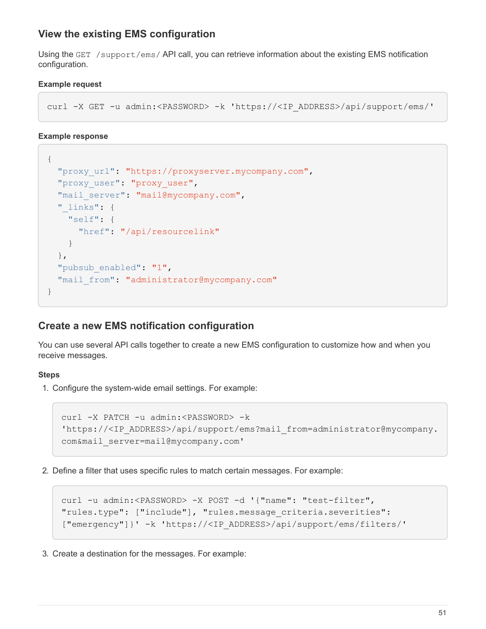## **View the existing EMS configuration**

Using the GET /support/ems/ API call, you can retrieve information about the existing EMS notification configuration.

#### **Example request**

```
curl -X GET -u admin:<PASSWORD> -k 'https://<IP_ADDRESS>/api/support/ems/'
```
#### **Example response**

```
{
  "proxy_url": "https://proxyserver.mycompany.com",
  "proxy user": "proxy user",
  "mail server": "mail@mycompany.com",
  " links": {
      "self": {
        "href": "/api/resourcelink"
      }
    },
  "pubsub enabled": "1",
    "mail_from": "administrator@mycompany.com"
}
```
### **Create a new EMS notification configuration**

You can use several API calls together to create a new EMS configuration to customize how and when you receive messages.

#### **Steps**

1. Configure the system-wide email settings. For example:

```
curl -X PATCH -u admin:<PASSWORD> -k
'https://<IP_ADDRESS>/api/support/ems?mail_from=administrator@mycompany.
com&mail_server=mail@mycompany.com'
```
2. Define a filter that uses specific rules to match certain messages. For example:

```
curl -u admin:<PASSWORD> -X POST -d '{"name": "test-filter",
"rules.type": ["include"], "rules.message_criteria.severities":
["emergency"]}' -k 'https://<IP_ADDRESS>/api/support/ems/filters/'
```
3. Create a destination for the messages. For example: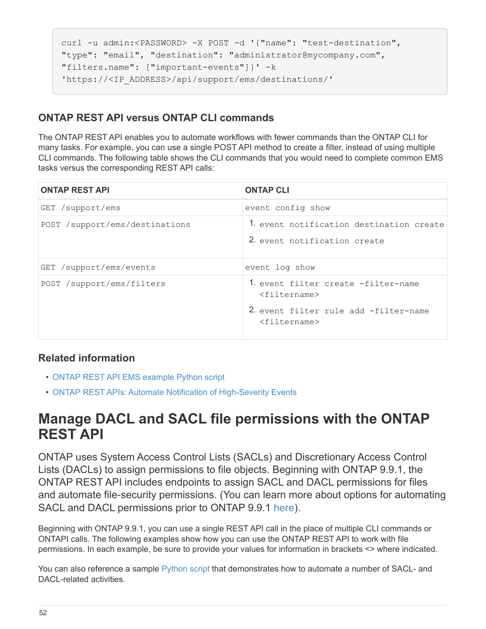```
curl -u admin:<PASSWORD> -X POST -d '{"name": "test-destination",
"type": "email", "destination": "administrator@mycompany.com",
"filters.name": ["important-events"]}' -k
'https://<IP_ADDRESS>/api/support/ems/destinations/'
```
# **ONTAP REST API versus ONTAP CLI commands**

The ONTAP REST API enables you to automate workflows with fewer commands than the ONTAP CLI for many tasks. For example, you can use a single POST API method to create a filter, instead of using multiple CLI commands. The following table shows the CLI commands that you would need to complete common EMS tasks versus the corresponding REST API calls:

| <b>ONTAP REST API</b>          | <b>ONTAP CLI</b>                                                                                                      |
|--------------------------------|-----------------------------------------------------------------------------------------------------------------------|
| GET /support/ems               | event config show                                                                                                     |
| POST /support/ems/destinations | 1. event notification destination create<br>2. event notification create                                              |
| GET /support/ems/events        | event log show                                                                                                        |
| POST /support/ems/filters      | 1. event filter create -filter-name<br>$<$ filtername><br>2. event filter rule add -filter-name<br>$<$ filtername $>$ |

## **Related information**

- [ONTAP REST API EMS example Python script](https://github.com/NetApp/ontap-rest-python/blob/master/examples/rest_api/events.py)
- [ONTAP REST APIs: Automate Notification of High-Severity Events](https://blog.netapp.com/ontap-rest-apis-automate-notification)

# **Manage DACL and SACL file permissions with the ONTAP REST API**

ONTAP uses System Access Control Lists (SACLs) and Discretionary Access Control Lists (DACLs) to assign permissions to file objects. Beginning with ONTAP 9.9.1, the ONTAP REST API includes endpoints to assign SACL and DACL permissions for files and automate file-security permissions. (You can learn more about options for automating SACL and DACL permissions prior to ONTAP 9.9.1 [here\)](https://netapp.io/2020/11/09/private-cli-passthrough-ontap-rest-api/).

Beginning with ONTAP 9.9.1, you can use a single REST API call in the place of multiple CLI commands or ONTAPI calls. The following examples show how you can use the ONTAP REST API to work with file permissions. In each example, be sure to provide your values for information in brackets <> where indicated.

You can also reference a sample [Python script](https://github.com/NetApp/ontap-rest-python/blob/master/examples/rest_api/file_security_permissions.py) that demonstrates how to automate a number of SACL- and DACL-related activities.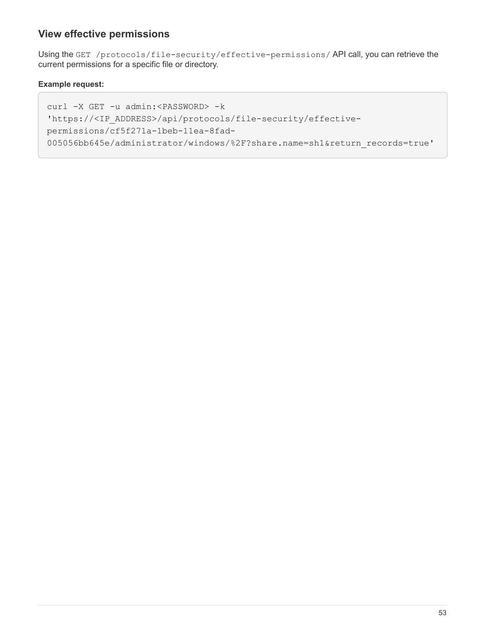## **View effective permissions**

Using the GET /protocols/file-security/effective-permissions/ API call, you can retrieve the current permissions for a specific file or directory.

#### **Example request:**

```
curl -X GET -u admin:<PASSWORD> -k
'https://<IP_ADDRESS>/api/protocols/file-security/effective-
permissions/cf5f271a-1beb-11ea-8fad-
005056bb645e/administrator/windows/%2F?share.name=sh1&return_records=true'
```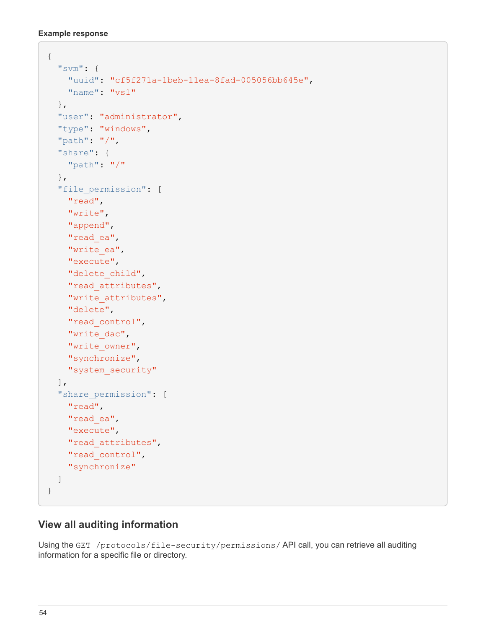**Example response**

```
{
    "svm": {
      "uuid": "cf5f271a-1beb-11ea-8fad-005056bb645e",
      "name": "vs1"
    },
    "user": "administrator",
  "type": "windows",
    "path": "/",
    "share": {
      "path": "/"
    },
    "file_permission": [
      "read",
      "write",
      "append",
    "read_ea",
    "write_ea",
      "execute",
    "delete child",
    "read attributes",
    "write attributes",
      "delete",
    "read_control",
    "write dac",
    "write_owner",
      "synchronize",
      "system_security"
  \frac{1}{2},
  "share permission": [
     "read",
      "read_ea",
      "execute",
    "read attributes",
    "read_control",
      "synchronize"
  \lceil}
```
# **View all auditing information**

Using the GET /protocols/file-security/permissions/ API call, you can retrieve all auditing information for a specific file or directory.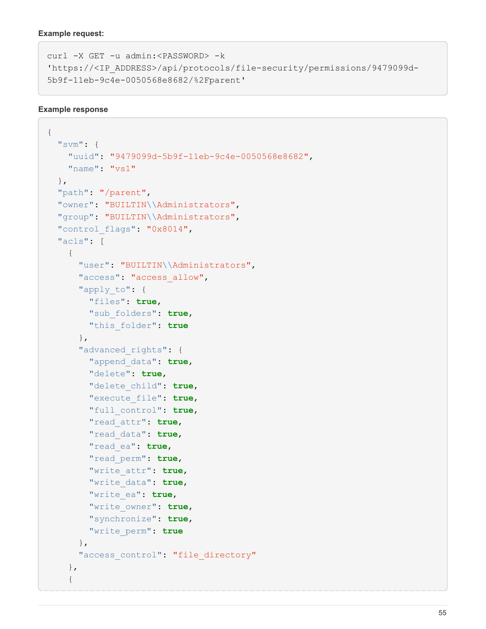#### **Example request:**

```
curl -X GET -u admin:<PASSWORD> -k
'https://<IP_ADDRESS>/api/protocols/file-security/permissions/9479099d-
5b9f-11eb-9c4e-0050568e8682/%2Fparent'
```
#### **Example response**

```
{
    "svm": {
      "uuid": "9479099d-5b9f-11eb-9c4e-0050568e8682",
      "name": "vs1"
    },
    "path": "/parent",
    "owner": "BUILTIN\\Administrators",
    "group": "BUILTIN\\Administrators",
  "control flags": "0x8014",
    "acls": [
      {
        "user": "BUILTIN\\Administrators",
      "access": "access allow",
      "apply to": {
          "files": true,
           "sub_folders": true,
          "this_folder": true
        },
      "advanced rights": {
           "append_data": true,
           "delete": true,
           "delete_child": true,
           "execute_file": true,
           "full_control": true,
           "read_attr": true,
           "read_data": true,
           "read_ea": true,
           "read_perm": true,
           "write_attr": true,
           "write_data": true,
           "write_ea": true,
           "write_owner": true,
           "synchronize": true,
           "write_perm": true
        },
      "access_control": "file_directory"
      },
      {
```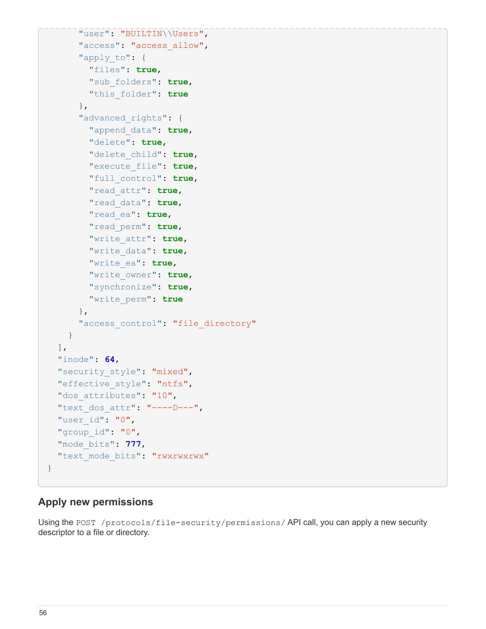```
  "user": "BUILTIN\\Users",
       "access": "access allow",
      "apply to": {
          "files": true,
           "sub_folders": true,
           "this_folder": true
         },
       "advanced rights": {
           "append_data": true,
           "delete": true,
           "delete_child": true,
           "execute_file": true,
           "full_control": true,
           "read_attr": true,
           "read_data": true,
           "read_ea": true,
           "read_perm": true,
           "write_attr": true,
           "write_data": true,
           "write_ea": true,
           "write_owner": true,
           "synchronize": true,
           "write_perm": true
        },
      "access_control": "file_directory"
      }
  \frac{1}{\sqrt{2}}  "inode": 64,
  "security style": "mixed",
  "effective style": "ntfs",
  "dos attributes": "10",
  "text dos attr": "----D---",
  "user_id": "0",
  "group_id": "0",
    "mode_bits": 777,
  "text mode bits": "rwxrwxrwx"
}
```
## **Apply new permissions**

Using the POST /protocols/file-security/permissions/ API call, you can apply a new security descriptor to a file or directory.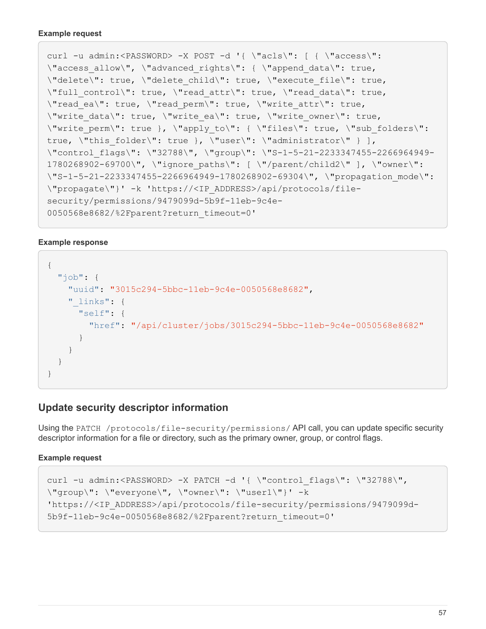```
curl -u admin:<PASSWORD> -X POST -d '{ \"acls\": [ { \"access\":
\"access_allow\", \"advanced_rights\": { \"append_data\": true,
\"delete\": true, \"delete_child\": true, \"execute_file\": true,
\"full control\": true, \"read attr\": true, \"read data\": true,
\"read ea\": true, \"read perm\": true, \"write attr\": true,
\forall"write data\forall": true, \forall"write ea\forall": true, \forall"write owner\forall": true,
\"write perm\": true }, \"apply to\": { \"files\": true, \"sub folders\":
true, \"this folder\": true }, \"user\": \"administrator\" } ],
\"control flags\": \"32788\", \"group\": \"S-1-5-21-2233347455-2266964949-
1780268902-69700\", \"ignore_paths\": [ \"/parent/child2\" ], \"owner\":
\"S-1-5-21-2233347455-2266964949-1780268902-69304\", \"propagation_mode\":
\"propagate\"}' -k 'https://<IP_ADDRESS>/api/protocols/file-
security/permissions/9479099d-5b9f-11eb-9c4e-
0050568e8682/%2Fparent?return_timeout=0'
```
#### **Example response**

```
{
  "i  "uuid": "3015c294-5bbc-11eb-9c4e-0050568e8682",
    " links": {
        "self": {
          "href": "/api/cluster/jobs/3015c294-5bbc-11eb-9c4e-0050568e8682"
  }
      }
    }
}
```
## **Update security descriptor information**

Using the PATCH /protocols/file-security/permissions/ API call, you can update specific security descriptor information for a file or directory, such as the primary owner, group, or control flags.

#### **Example request**

```
curl -u admin:<PASSWORD> -X PATCH -d '{ \"control flags\": \"32788\",
\"group\": \"everyone\", \"owner\": \"user1\"}' -k
'https://<IP_ADDRESS>/api/protocols/file-security/permissions/9479099d-
5b9f-11eb-9c4e-0050568e8682/%2Fparent?return_timeout=0'
```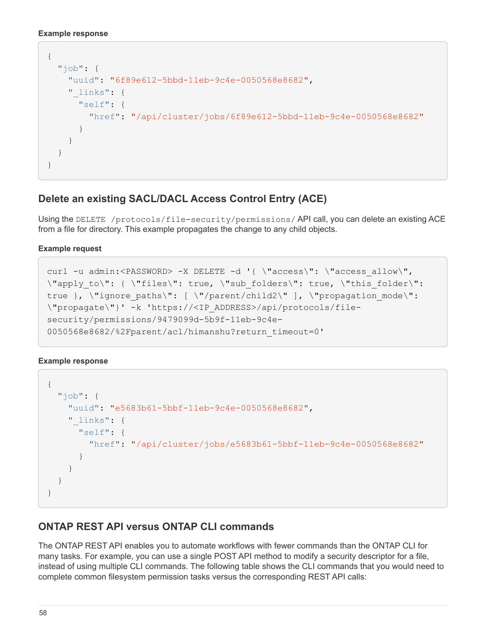```
Example response
```

```
{
    "job": {
      "uuid": "6f89e612-5bbd-11eb-9c4e-0050568e8682",
    " links": {
        "self": {
          "href": "/api/cluster/jobs/6f89e612-5bbd-11eb-9c4e-0050568e8682"
  }
      }
    }
}
```
# **Delete an existing SACL/DACL Access Control Entry (ACE)**

Using the DELETE /protocols/file-security/permissions/ API call, you can delete an existing ACE from a file for directory. This example propagates the change to any child objects.

#### **Example request**

```
curl -u admin:<PASSWORD> -X DELETE -d '{ \"access\": \"access allow\",
\"apply_to\": { \"files\": true, \"sub_folders\": true, \"this_folder\":
true }, \"ignore paths\": [ \"/parent/child2\" ], \"propagation mode\":
\"propagate\"}' -k 'https://<IP_ADDRESS>/api/protocols/file-
security/permissions/9479099d-5b9f-11eb-9c4e-
0050568e8682/%2Fparent/acl/himanshu?return_timeout=0'
```
**Example response**

```
{
  "iob": {
      "uuid": "e5683b61-5bbf-11eb-9c4e-0050568e8682",
    " links": {
        "self": {
          "href": "/api/cluster/jobs/e5683b61-5bbf-11eb-9c4e-0050568e8682"
  }
      }
    }
}
```
# **ONTAP REST API versus ONTAP CLI commands**

The ONTAP REST API enables you to automate workflows with fewer commands than the ONTAP CLI for many tasks. For example, you can use a single POST API method to modify a security descriptor for a file, instead of using multiple CLI commands. The following table shows the CLI commands that you would need to complete common filesystem permission tasks versus the corresponding REST API calls: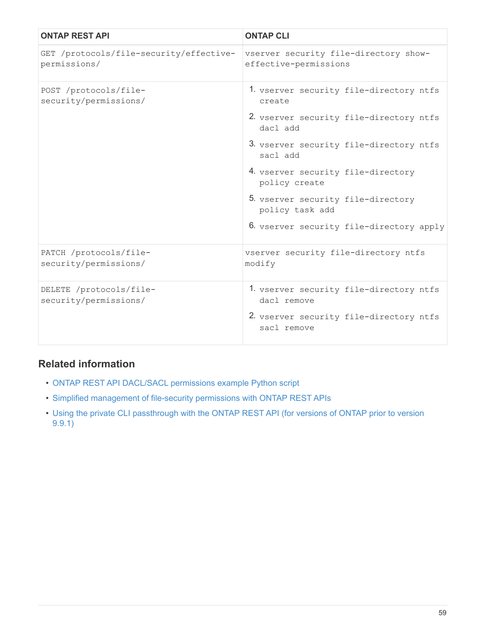| <b>ONTAP REST API</b>                                   | <b>ONTAP CLI</b>                                               |
|---------------------------------------------------------|----------------------------------------------------------------|
| GET /protocols/file-security/effective-<br>permissions/ | vserver security file-directory show-<br>effective-permissions |
| POST /protocols/file-<br>security/permissions/          | 1. vserver security file-directory ntfs<br>create              |
|                                                         | 2. vserver security file-directory ntfs<br>dacl add            |
|                                                         | 3. vserver security file-directory ntfs<br>sacl add            |
|                                                         | 4. vserver security file-directory<br>policy create            |
|                                                         | 5. vserver security file-directory<br>policy task add          |
|                                                         | 6. vserver security file-directory apply                       |
| PATCH /protocols/file-<br>security/permissions/         | vserver security file-directory ntfs<br>modify                 |
| DELETE /protocols/file-<br>security/permissions/        | 1. vserver security file-directory ntfs<br>dacl remove         |
|                                                         | 2. vserver security file-directory ntfs<br>sacl remove         |

# **Related information**

- [ONTAP REST API DACL/SACL permissions example Python script](https://github.com/NetApp/ontap-rest-python/blob/master/examples/rest_api/file_security_permissions.py)
- [Simplified management of file-security permissions with ONTAP REST APIs](https://netapp.io/2021/06/28/simplified-management-of-file-security-permissions-with-ontap-rest-apis/)
- [Using the private CLI passthrough with the ONTAP REST API \(for versions of ONTAP prior to version](https://netapp.io/2020/11/09/private-cli-passthrough-ontap-rest-api/) [9.9.1\)](https://netapp.io/2020/11/09/private-cli-passthrough-ontap-rest-api/)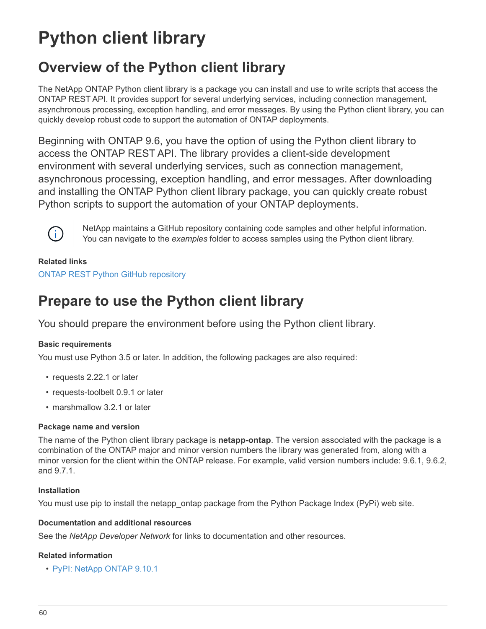# **Python client library**

# **Overview of the Python client library**

The NetApp ONTAP Python client library is a package you can install and use to write scripts that access the ONTAP REST API. It provides support for several underlying services, including connection management, asynchronous processing, exception handling, and error messages. By using the Python client library, you can quickly develop robust code to support the automation of ONTAP deployments.

Beginning with ONTAP 9.6, you have the option of using the Python client library to access the ONTAP REST API. The library provides a client-side development environment with several underlying services, such as connection management, asynchronous processing, exception handling, and error messages. After downloading and installing the ONTAP Python client library package, you can quickly create robust Python scripts to support the automation of your ONTAP deployments.



NetApp maintains a GitHub repository containing code samples and other helpful information. You can navigate to the *examples* folder to access samples using the Python client library.

#### **Related links**

[ONTAP REST Python GitHub repository](https://github.com/NetApp/ontap-rest-python)

# **Prepare to use the Python client library**

You should prepare the environment before using the Python client library.

#### **Basic requirements**

You must use Python 3.5 or later. In addition, the following packages are also required:

- requests 2.22.1 or later
- requests-toolbelt 0.9.1 or later
- marshmallow 3.2.1 or later

#### **Package name and version**

The name of the Python client library package is **netapp-ontap**. The version associated with the package is a combination of the ONTAP major and minor version numbers the library was generated from, along with a minor version for the client within the ONTAP release. For example, valid version numbers include: 9.6.1, 9.6.2, and 9.7.1.

#### **Installation**

You must use pip to install the netapp ontap package from the Python Package Index (PyPi) web site.

#### **Documentation and additional resources**

See the *NetApp Developer Network* for links to documentation and other resources.

#### **Related information**

• [PyPI: NetApp ONTAP 9.10.1](https://pypi.org/project/netapp-ontap)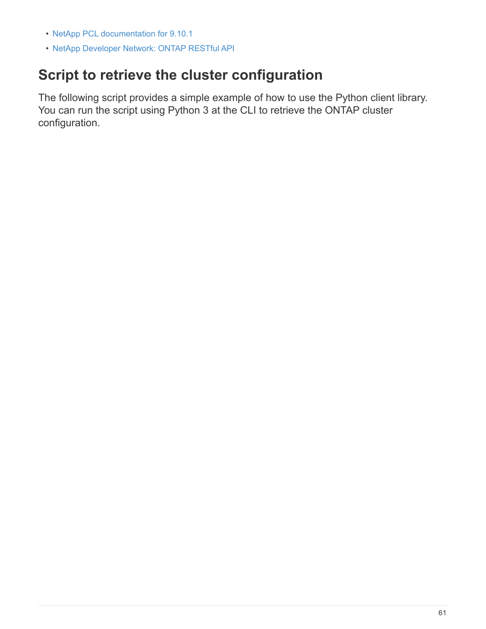- [NetApp PCL documentation for 9.10.1](https://library.netapp.com/ecmdocs/ECMLP2879970/html/index.html)
- [NetApp Developer Network: ONTAP RESTful API](https://devnet.netapp.com/restapi.php)

# **Script to retrieve the cluster configuration**

The following script provides a simple example of how to use the Python client library. You can run the script using Python 3 at the CLI to retrieve the ONTAP cluster configuration.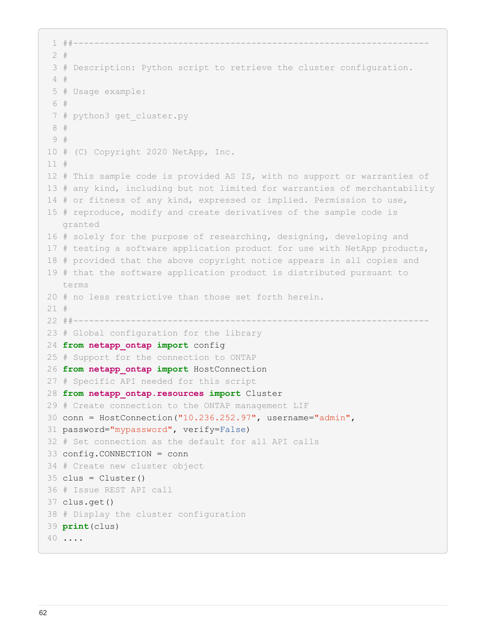```
 1 ##--------------------------------------------------------------------
  2 #
  3 # Description: Python script to retrieve the cluster configuration.
  4 #
  5 # Usage example:
  6 #
  7 # python3 get_cluster.py
  8 #
 9 #
10 # (C) Copyright 2020 NetApp, Inc.
11 #
12 # This sample code is provided AS IS, with no support or warranties of
13 # any kind, including but not limited for warranties of merchantability
14 # or fitness of any kind, expressed or implied. Permission to use,
15 # reproduce, modify and create derivatives of the sample code is
     granted
16 # solely for the purpose of researching, designing, developing and
17 # testing a software application product for use with NetApp products,
18 # provided that the above copyright notice appears in all copies and
19 # that the software application product is distributed pursuant to
     terms
20 # no less restrictive than those set forth herein.
21 #
22 ##--------------------------------------------------------------------
23 # Global configuration for the library
24 from netapp_ontap import config
25 # Support for the connection to ONTAP
26 from netapp_ontap import HostConnection
27 # Specific API needed for this script
28 from netapp_ontap.resources import Cluster
29 # Create connection to the ONTAP management LIF
30 conn = HostConnection("10.236.252.97", username="admin",
31 password="mypassword", verify=False)
32 # Set connection as the default for all API calls
33 config.CONNECTION = conn
34 # Create new cluster object
35 \text{clus} = \text{Cluster}()36 # Issue REST API call
37 clus.get()
38 # Display the cluster configuration
39 print(clus)
40 ....
```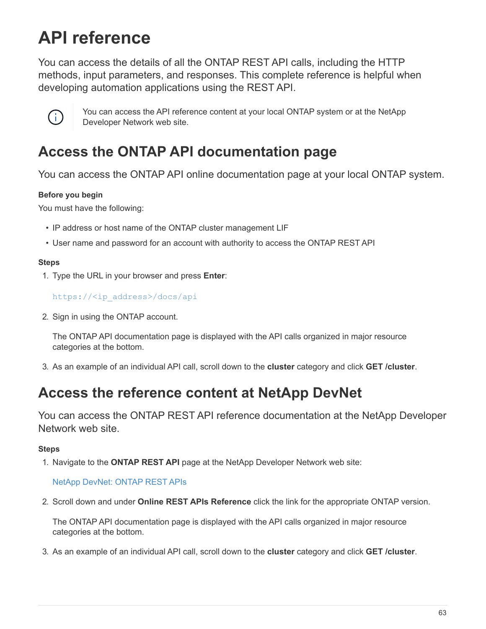# **API reference**

You can access the details of all the ONTAP REST API calls, including the HTTP methods, input parameters, and responses. This complete reference is helpful when developing automation applications using the REST API.



You can access the API reference content at your local ONTAP system or at the NetApp Developer Network web site.

# **Access the ONTAP API documentation page**

You can access the ONTAP API online documentation page at your local ONTAP system.

### **Before you begin**

You must have the following:

- IP address or host name of the ONTAP cluster management LIF
- User name and password for an account with authority to access the ONTAP REST API

#### **Steps**

1. Type the URL in your browser and press **Enter**:

[https://<ip\\_address>/docs/api](https://<ip_address>/docs/api)

2. Sign in using the ONTAP account.

The ONTAP API documentation page is displayed with the API calls organized in major resource categories at the bottom.

3. As an example of an individual API call, scroll down to the **cluster** category and click **GET /cluster**.

# **Access the reference content at NetApp DevNet**

You can access the ONTAP REST API reference documentation at the NetApp Developer Network web site.

### **Steps**

1. Navigate to the **ONTAP REST API** page at the NetApp Developer Network web site:

### [NetApp DevNet: ONTAP REST APIs](https://devnet.netapp.com/restapi.php)

2. Scroll down and under **Online REST APIs Reference** click the link for the appropriate ONTAP version.

The ONTAP API documentation page is displayed with the API calls organized in major resource categories at the bottom.

3. As an example of an individual API call, scroll down to the **cluster** category and click **GET /cluster**.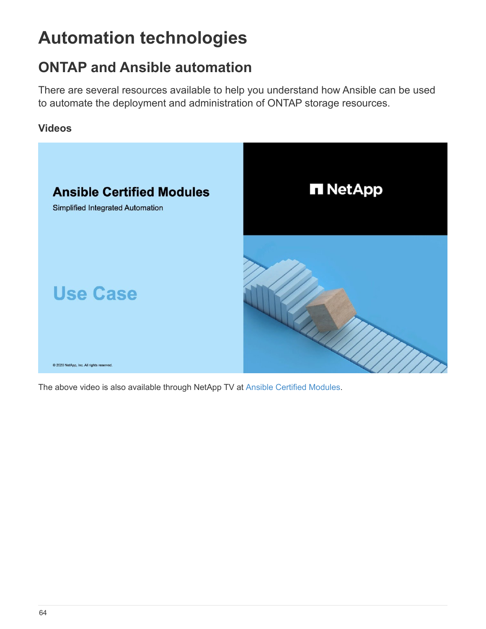# **Automation technologies**

# **ONTAP and Ansible automation**

There are several resources available to help you understand how Ansible can be used to automate the deployment and administration of ONTAP storage resources.

# **Videos**



The above video is also available through NetApp TV at [Ansible Certified Modules.](https://tv.netapp.com/detail/video/6217195551001)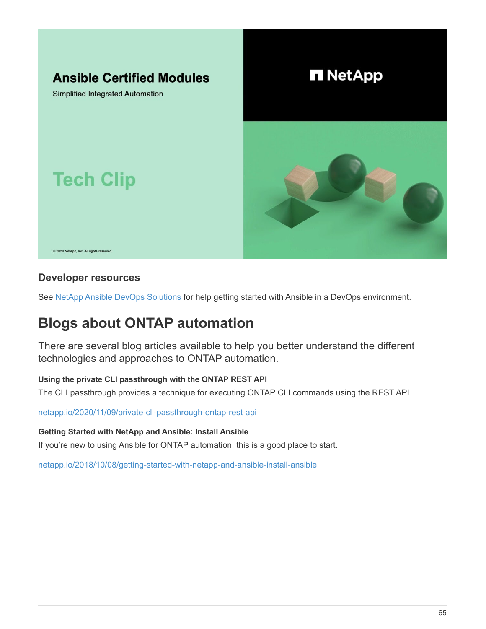

# **Developer resources**

See [NetApp Ansible DevOps Solutions](https://www.netapp.com/devops-solutions/ansible/) for help getting started with Ansible in a DevOps environment.

# **Blogs about ONTAP automation**

There are several blog articles available to help you better understand the different technologies and approaches to ONTAP automation.

### **Using the private CLI passthrough with the ONTAP REST API**

The CLI passthrough provides a technique for executing ONTAP CLI commands using the REST API.

[netapp.io/2020/11/09/private-cli-passthrough-ontap-rest-api](https://netapp.io/2020/11/09/private-cli-passthrough-ontap-rest-api/)

**Getting Started with NetApp and Ansible: Install Ansible**

If you're new to using Ansible for ONTAP automation, this is a good place to start.

[netapp.io/2018/10/08/getting-started-with-netapp-and-ansible-install-ansible](https://netapp.io/2018/10/08/getting-started-with-netapp-and-ansible-install-ansible)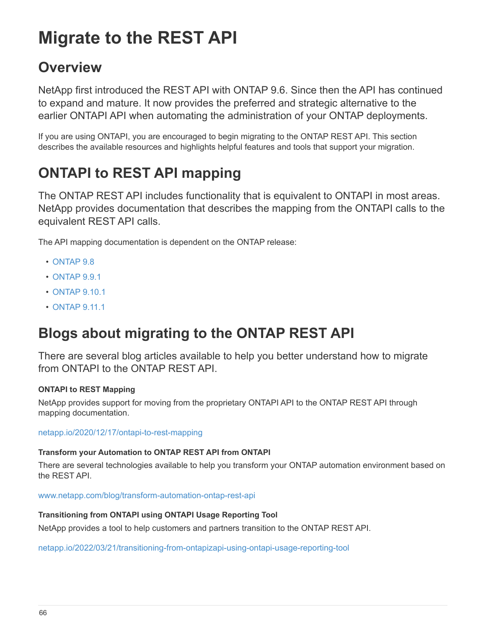# **Migrate to the REST API**

# **Overview**

NetApp first introduced the REST API with ONTAP 9.6. Since then the API has continued to expand and mature. It now provides the preferred and strategic alternative to the earlier ONTAPI API when automating the administration of your ONTAP deployments.

If you are using ONTAPI, you are encouraged to begin migrating to the ONTAP REST API. This section describes the available resources and highlights helpful features and tools that support your migration.

# **ONTAPI to REST API mapping**

The ONTAP REST API includes functionality that is equivalent to ONTAPI in most areas. NetApp provides documentation that describes the mapping from the ONTAPI calls to the equivalent REST API calls.

The API mapping documentation is dependent on the ONTAP release:

- [ONTAP 9.8](https://library.netapp.com/ecm/ecm_download_file/ECMLP2874886)
- [ONTAP 9.9.1](https://library.netapp.com/ecm/ecm_download_file/ECMLP2876895)
- [ONTAP 9.10.1](https://library.netapp.com/ecm/ecm_download_file/ECMLP2879870)
- [ONTAP 9.11.1](https://library.netapp.com/ecm/ecm_download_file/ECMLP2882104)

# **Blogs about migrating to the ONTAP REST API**

There are several blog articles available to help you better understand how to migrate from ONTAPI to the ONTAP REST API.

### **ONTAPI to REST Mapping**

NetApp provides support for moving from the proprietary ONTAPI API to the ONTAP REST API through mapping documentation.

[netapp.io/2020/12/17/ontapi-to-rest-mapping](https://netapp.io/2020/12/17/ontapi-to-rest-mapping/)

#### **Transform your Automation to ONTAP REST API from ONTAPI**

There are several technologies available to help you transform your ONTAP automation environment based on the REST API.

[www.netapp.com/blog/transform-automation-ontap-rest-api](https://www.netapp.com/blog/transform-automation-ontap-rest-api/)

#### **Transitioning from ONTAPI using ONTAPI Usage Reporting Tool**

NetApp provides a tool to help customers and partners transition to the ONTAP REST API.

[netapp.io/2022/03/21/transitioning-from-ontapizapi-using-ontapi-usage-reporting-tool](https://netapp.io/2022/03/21/transitioning-from-ontapizapi-using-ontapi-usage-reporting-tool/)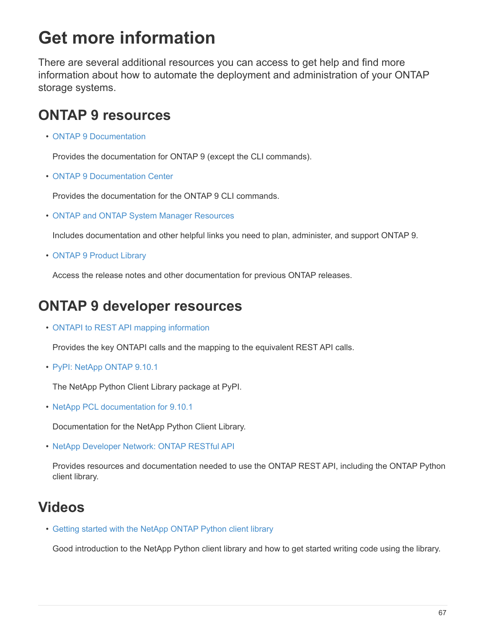# **Get more information**

There are several additional resources you can access to get help and find more information about how to automate the deployment and administration of your ONTAP storage systems.

# **ONTAP 9 resources**

• [ONTAP 9 Documentation](https://docs.netapp.com/us-en/ontap/)

Provides the documentation for ONTAP 9 (except the CLI commands).

• [ONTAP 9 Documentation Center](https://docs.netapp.com/ontap-9/index.jsp)

Provides the documentation for the ONTAP 9 CLI commands.

• [ONTAP and ONTAP System Manager Resources](https://www.netapp.com/us/documentation/ontap-and-oncommand-system-manager.aspx)

Includes documentation and other helpful links you need to plan, administer, and support ONTAP 9.

• [ONTAP 9 Product Library](https://mysupport.netapp.com/documentation/productlibrary/index.html?productID=62286)

Access the release notes and other documentation for previous ONTAP releases.

# **ONTAP 9 developer resources**

• [ONTAPI to REST API mapping information](https://library.netapp.com/ecm/ecm_download_file/ECMLP2879870)

Provides the key ONTAPI calls and the mapping to the equivalent REST API calls.

• [PyPI: NetApp ONTAP 9.10.1](https://pypi.org/project/netapp-ontap)

The NetApp Python Client Library package at PyPI.

• [NetApp PCL documentation for 9.10.1](https://library.netapp.com/ecmdocs/ECMLP2879970/html/index.html)

Documentation for the NetApp Python Client Library.

• [NetApp Developer Network: ONTAP RESTful API](https://devnet.netapp.com/restapi.php)

Provides resources and documentation needed to use the ONTAP REST API, including the ONTAP Python client library.

# **Videos**

• [Getting started with the NetApp ONTAP Python client library](https://www.youtube.com/watch?v=Wws3SB5d9Ss)

Good introduction to the NetApp Python client library and how to get started writing code using the library.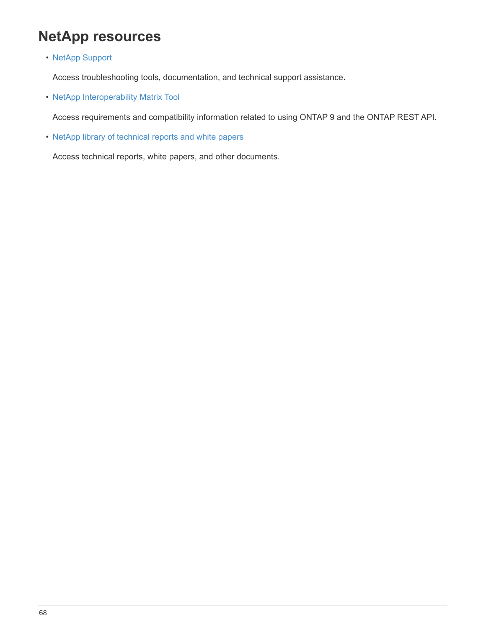# **NetApp resources**

• [NetApp Support](https://mysupport.netapp.com/)

Access troubleshooting tools, documentation, and technical support assistance.

• [NetApp Interoperability Matrix Tool](https://mysupport.netapp.com/matrix)

Access requirements and compatibility information related to using ONTAP 9 and the ONTAP REST API.

• [NetApp library of technical reports and white papers](http://www.netapp.com/us/library/index.aspx)

Access technical reports, white papers, and other documents.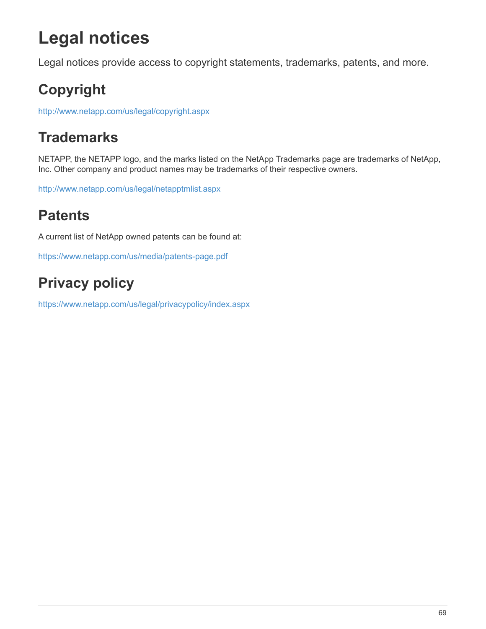# **Legal notices**

Legal notices provide access to copyright statements, trademarks, patents, and more.

# **Copyright**

<http://www.netapp.com/us/legal/copyright.aspx>

# **Trademarks**

NETAPP, the NETAPP logo, and the marks listed on the NetApp Trademarks page are trademarks of NetApp, Inc. Other company and product names may be trademarks of their respective owners.

<http://www.netapp.com/us/legal/netapptmlist.aspx>

# **Patents**

A current list of NetApp owned patents can be found at:

<https://www.netapp.com/us/media/patents-page.pdf>

# **Privacy policy**

<https://www.netapp.com/us/legal/privacypolicy/index.aspx>